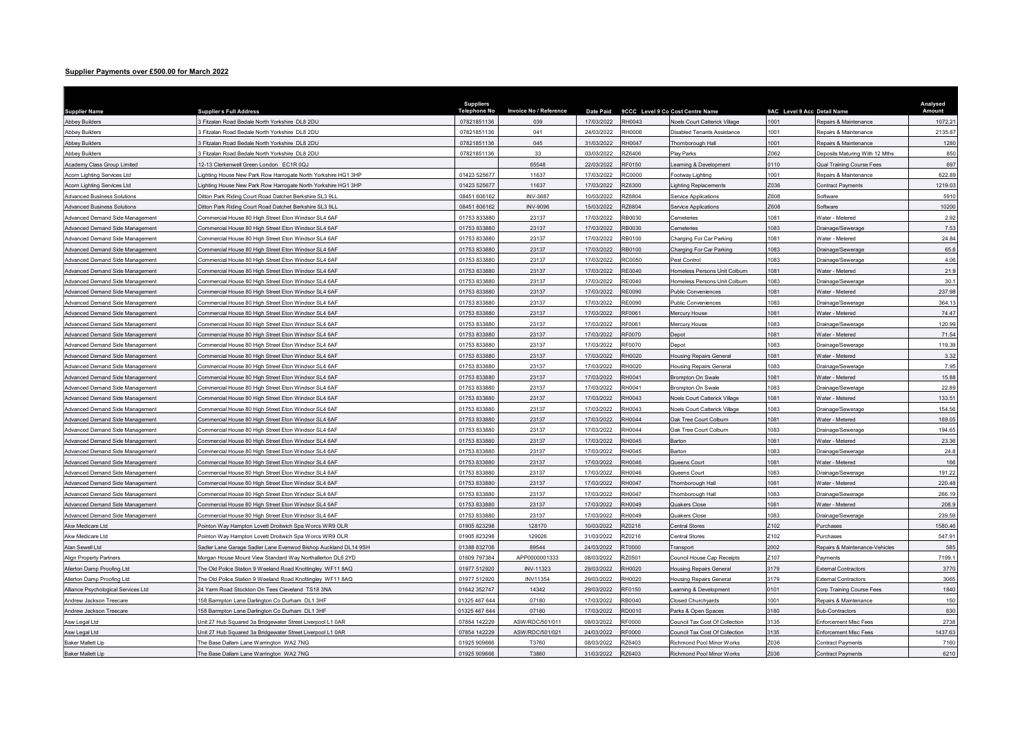## Supplier Payments over £500.00 for March 2022

| Supplier Payments over £500.00 for March 2022                      |                                                                                                              |                              |                               |                          |                  |                                                    |                             |                                      |                  |
|--------------------------------------------------------------------|--------------------------------------------------------------------------------------------------------------|------------------------------|-------------------------------|--------------------------|------------------|----------------------------------------------------|-----------------------------|--------------------------------------|------------------|
|                                                                    |                                                                                                              |                              |                               |                          |                  |                                                    |                             |                                      |                  |
|                                                                    |                                                                                                              | <b>Suppliers</b>             |                               |                          |                  |                                                    |                             |                                      | Analysed         |
| <b>Supplier Name</b>                                               | <b>Supplier s Full Address</b>                                                                               | <b>Telephone No</b>          | <b>Invoice No / Reference</b> | <b>Date Paid</b>         |                  | 9CCC Level 9 Co Cost Centre Name                   | 9AC Level 9 Acc Detail Name |                                      | Amount           |
| <b>Abbey Builders</b>                                              | 3 Fitzalan Road Bedale North Yorkshire DL8 2DU                                                               | 07821851136                  | 039                           | 17/03/2022               | RH0043           | Noels Court Catterick Village                      | 1001                        | Repairs & Maintenance                | 1072.21          |
| <b>Abbey Builders</b>                                              | 3 Fitzalan Road Bedale North Yorkshire DL8 2DU                                                               | 07821851136                  | 041                           | 24/03/2022               | RH0006           | <b>Disabled Tenants Assistance</b>                 | 1001                        | Repairs & Maintenance                | 2135.87          |
| <b>Abbey Builders</b>                                              | 3 Fitzalan Road Bedale North Yorkshire DL8 2DU                                                               | 07821851136                  | 045                           | 31/03/2022               | RH0047           | Thornborough Hall                                  | 1001                        | Repairs & Maintenance                | 1280             |
| <b>Abbey Builders</b>                                              | 3 Fitzalan Road Bedale North Yorkshire DL8 2DU                                                               | 07821851136                  | 33                            | 03/03/2022               | RZ6406           | Play Parks                                         | Z062                        | Deposits Maturing With 12 Mths       | 850              |
| Academy Class Group Limited                                        | 12-13 Clerkenwell Green London EC1R 0QJ                                                                      |                              | 65548                         | 22/03/2022               | RF0150           | earning & Development                              | 0110                        | Jual Training Course Fees            | 697              |
| Acorn Lighting Services Ltd                                        | Lighting House New Park Row Harrogate North Yorkshire HG1 3HP                                                | 01423 525677                 | 11637                         | 17/03/2022               | RC0000           | Footway Lighting                                   | 1001                        | Repairs & Maintenance                | 622.89           |
| Acorn Lighting Services Ltd                                        | Lighting House New Park Row Harrogate North Yorkshire HG1 3HP                                                | 01423 525677                 | 11637                         | 17/03/2022               | R76300           | ighting Replacements                               | 7036                        | Contract Payments                    | 1219.03          |
| <b>Advanced Business Solutions</b>                                 | Ditton Park Riding Court Road Datchet Berkshire SL3 9LL                                                      | 08451 606162                 | <b>INV-3687</b>               | 10/03/2022               | RZ6804           | Service Applications                               | Z608                        | Software                             | 5910             |
| <b>Advanced Business Solutions</b>                                 | Ditton Park Riding Court Road Datchet Berkshire SL3 9LL                                                      | 08451 606162                 | <b>INV-9096</b>               | 15/03/2022               | RZ6804           | ervice Applications                                | Z608                        | Software                             | 10200            |
| Advanced Demand Side Management                                    | Commercial House 80 High Street Eton Windsor SL4 6AF                                                         | 01753 833880                 | 23137                         | 17/03/2022               | RB0030           | Cemeteries                                         | 1081                        | Water - Metered                      | 2.92             |
| Advanced Demand Side Management                                    | Commercial House 80 High Street Eton Windsor SL4 6AF                                                         | 01753 833880                 | 23137                         | 17/03/2022               | RB0030           | Cemeteries                                         | 1083                        | Drainage/Sewerage                    | 7.53             |
| Advanced Demand Side Management                                    | Commercial House 80 High Street Eton Windsor SL4 6AF                                                         | 01753 833880                 | 23137                         | 17/03/2022               | RB0100           | Charging For Car Parking                           | 1081                        | Vater - Metered                      | 24.84            |
| Advanced Demand Side Management                                    | Commercial House 80 High Street Eton Windsor SL4 6AF                                                         | 01753 833880                 | 23137                         | 17/03/2022               | RB0100           | Charging For Car Parking                           | 1083                        | Drainage/Sewerage                    | 65.6             |
| Advanced Demand Side Management                                    | Commercial House 80 High Street Eton Windsor SL4 6AF                                                         | 01753 833880                 | 23137                         | 17/03/2022               | RC0050           | Pest Control                                       | 1083                        | Drainage/Sewerage                    | 4.06             |
| Advanced Demand Side Management                                    | Commercial House 80 High Street Eton Windsor SL4 6AF                                                         | 01753 833880                 | 23137                         | 17/03/2022               | RE0040           | Homeless Persons Unit Colburn                      | 1081                        | Vater - Metered                      | 21.9             |
| Advanced Demand Side Management                                    | Commercial House 80 High Street Eton Windsor SL4 6AF                                                         | 01753 83388                  | 23137                         | 17/03/2022               | RE0040           | <b>Iomeless Persons Unit Colburn</b>               | 1083                        | Orainage/Sewerage                    | 30.1             |
| Advanced Demand Side Management                                    | Commercial House 80 High Street Eton Windsor SL4 6AF                                                         | 01753 833880                 | 23137                         | 17/03/2022               | <b>RE0090</b>    | <b>Public Conveniences</b>                         | 1081                        | Vater - Metered                      | 237.98           |
| Advanced Demand Side Management                                    | Commercial House 80 High Street Eton Windsor SL4 6AF                                                         | 01753 833880                 | 23137                         | 17/03/2022               | <b>RE0090</b>    | Public Conveniences                                | 1083                        | Drainage/Sewerage                    | 364.13           |
| Advanced Demand Side Management                                    | Commercial House 80 High Street Eton Windsor SL4 6AF                                                         | 01753 833880                 | 23137                         | 17/03/2022               | RF0061           | <b>Mercury House</b>                               | 1081                        | Vater - Metered                      | 74.47            |
| Advanced Demand Side Management                                    | Commercial House 80 High Street Eton Windsor SL4 6AF                                                         | 01753 833880                 | 23137                         | 17/03/2022               | RF0061           | Aercury House                                      | 1083                        | <b>Crainage/Sewerage</b>             | 120.99           |
| Advanced Demand Side Management                                    | Commercial House 80 High Street Eton Windsor SL4 6AF                                                         | 01753 833880                 | 23137                         | 17/03/2022               | RF0070           | <b>Depot</b>                                       | 1081                        | Water - Metered                      | 71.54            |
| Advanced Demand Side Management                                    | Commercial House 80 High Street Eton Windsor SL4 6AF                                                         | 01753 833880                 | 23137                         | 17/03/2022               | RF0070           | <b>Denot</b>                                       | 1083                        | Orainage/Sewerage                    | 119.39           |
| Advanced Demand Side Management                                    | Commercial House 80 High Street Eton Windsor SL4 6AF                                                         | 01753 833880                 | 23137                         | 17/03/2022               | RH0020           | <b>Housing Repairs General</b>                     | 1081                        | Nater - Metered                      | 3.32             |
| Advanced Demand Side Management                                    | Commercial House 80 High Street Eton Windsor SL4 6AF                                                         | 01753 833880                 | 23137                         | 17/03/2022               | RH0020           | <b>Housing Repairs General</b>                     | 1083                        | Drainage/Sewerage                    | 7.95             |
|                                                                    |                                                                                                              | 01753 833880                 | 23137                         | 17/03/2022               | RH0041           | Brompton On Swale                                  | 1081                        | Vater - Metered                      | 15.88            |
| Advanced Demand Side Management                                    | Commercial House 80 High Street Eton Windsor SL4 6AF<br>Commercial House 80 High Street Eton Windsor SL4 6AF | 01753 83388                  | 23137                         | 17/03/2022               | RH0041           |                                                    | 1083                        |                                      | 22.89            |
| Advanced Demand Side Management<br>Advanced Demand Side Management | Commercial House 80 High Street Eton Windsor SL4 6AF                                                         | 01753 833880                 | 23137                         | 17/03/2022               | RH0043           | Brompton On Swale<br>Noels Court Catterick Village | 1081                        | Orainage/Sewerage<br>Water - Metered | 133.51           |
|                                                                    |                                                                                                              | 01753 833880                 |                               |                          |                  |                                                    |                             |                                      | 154.56           |
| Advanced Demand Side Management                                    | Commercial House 80 High Street Eton Windsor SL4 6AF                                                         |                              | 23137                         | 17/03/2022<br>17/03/2022 | RH0043<br>RH0044 | Noels Court Catterick Village                      | 1083<br>1081                | Orainage/Sewerage                    |                  |
| Advanced Demand Side Management                                    | Commercial House 80 High Street Eton Windsor SL4 6AF                                                         | 01753 833880<br>01753 833880 | 23137                         |                          | RH0044           | Oak Tree Court Colburn                             | 1083                        | Vater - Metered                      | 169.05<br>194.65 |
| Advanced Demand Side Management                                    | Commercial House 80 High Street Eton Windsor SL4 6AF                                                         |                              | 23137                         | 17/03/2022               |                  | Oak Tree Court Colburn                             |                             | Orainage/Sewerage                    |                  |
| Advanced Demand Side Management                                    | Commercial House 80 High Street Eton Windsor SL4 6AF                                                         | 01753 833880                 | 23137                         | 17/03/2022               | RH0045           | Barton                                             | 1081                        | Vater - Metered                      | 23.36            |
| Advanced Demand Side Management                                    | Commercial House 80 High Street Eton Windsor SL4 6AF                                                         | 01753 833880                 | 23137                         | 17/03/2022               | RH0045           | Barton                                             | 1083                        | Orainage/Sewerage                    | 24.8             |
| Advanced Demand Side Management                                    | Commercial House 80 High Street Eton Windsor SL4 6AF                                                         | 01753 833880                 | 23137                         | 17/03/2022               | RH0046           | Queens Court                                       | 1081                        | <b>Nater - Metered</b>               | 166              |
| Advanced Demand Side Management                                    | Commercial House 80 High Street Eton Windsor SL4 6AF                                                         | 01753 833880                 | 23137                         | 17/03/2022               | RH0046           | Queens Court                                       | 1083                        | Orainage/Sewerage                    | 191.22           |
| Advanced Demand Side Management                                    | Commercial House 80 High Street Eton Windsor SL4 6AF                                                         | 01753 833880                 | 23137                         | 17/03/2022               | RH0047           | Thomborough Hall                                   | 1081                        | Vater - Metered                      | 220.48           |
| Advanced Demand Side Management                                    | Commercial House 80 High Street Eton Windsor SL4 6AF                                                         | 01753 833880                 | 23137                         | 17/03/2022               | RH0047           | homborough Hall                                    | 1083                        | Orainage/Sewerage                    | 266.19           |
| Advanced Demand Side Management                                    | Commercial House 80 High Street Eton Windsor SL4 6AF                                                         | 01753 833880                 | 23137                         | 17/03/2022               | RH0049           | Quakers Close                                      | 1081                        | <b>Nater - Metered</b>               | 208.9            |
| Advanced Demand Side Management                                    | Commercial House 80 High Street Eton Windsor SL4 6AF                                                         | 01753 833880                 | 23137                         | 17/03/2022               | RH0049           | Quakers Close                                      | 1083                        | Drainage/Sewerage                    | 239.59           |
| Akw Medicare I td                                                  | Pointon Way Hampton Lovett Droitwich Spa Worcs WR9 OLR                                                       | 01905 823298                 | 128170                        | 10/03/2022               | RZ0216           | <b>Central Stores</b>                              | Z102                        | Purchases                            | 1580.46          |
| Akw Medicare Ltd                                                   | Pointon Way Hampton Lovett Droitwich Spa Worcs WR9 OLR                                                       | 01905 823298                 | 129026                        | 31/03/2022               | <b>RZ0216</b>    | <b>Central Stores</b>                              | Z102                        | <b>Purchases</b>                     | 547.91           |
| Alan Sewell Ltd                                                    | Sadler Lane Garage Sadler Lane Evenwod Bishop Auckland DL14 9SH                                              | 01388 832706                 | 89544                         | 24/03/2022               | RT0000           | Transport                                          | 2002                        | Repairs & Maintenance-Vehicles       | 585              |
| Align Property Partners                                            | Morgan House Mount View Standard Way Northallerton DL6 2YD                                                   | 01609 797384                 | APP0000001333                 | 08/03/2022               | RZ0501           | Council House Cap Receipts                         | Z <sub>107</sub>            | Payments                             | 7199.1           |
| Allerton Damp Proofing Ltd                                         | The Old Police Station 9 Weeland Road Knottingley WF11 8AQ                                                   | 01977 512920                 | INV-11323                     | 29/03/2022               | RH0020           | <b>Housing Repairs General</b>                     | 3179                        | <b>External Contractors</b>          | 3770             |
| Allerton Damp Proofing Ltd                                         | The Old Police Station 9 Weeland Road Knottingley WF11 8AQ                                                   | 01977 512920                 | <b>INV11354</b>               | 29/03/2022               | RH0020           | <b>Housing Repairs General</b>                     | 3179                        | External Contractors                 | 3065             |
| Alliance Psychological Services Ltd                                | 24 Yarm Road Stockton On Tees Cleveland TS18 3NA                                                             | 01642 352747                 | 14342                         | 29/03/2022               | RF0150           | earning & Development                              | 0101                        | Corp Training Course Fees            | 1840             |
| Andrew Jackson Treecare                                            | 158 Barmpton Lane Darlington Co Durham DL1 3HF                                                               | 01325 467 644                | 07180                         | 17/03/2022               | RB0040           | Closed Churchyards                                 | 1001                        | Repairs & Maintenance                | 150              |
| Andrew Jackson Treecare                                            | 158 Barmpton Lane Darlington Co Durham DL1 3HF                                                               | 01325 467 644                | 07180                         | 17/03/2022               | RD0010           | Parks & Open Spaces                                | 3180                        | Sub-Contractors                      | 830              |
| Asw Legal Ltd                                                      | Jnit 27 Hub Squared 3a Bridgewater Street Liverpool L1 0AR                                                   | 07854 142229                 | ASW/RDC/501/011               | 08/03/2022               | RF0000           | Council Tax Cost Of Collection                     | 3135                        | Enforcement Misc Fees                | 2738             |
| Asw Legal Ltd                                                      | Jnit 27 Hub Squared 3a Bridgewater Street Liverpool L1 0AR                                                   | 07854 142229                 | ASW/RDC/501/021               | 24/03/2022               | RF0000           | Council Tax Cost Of Collection                     | 3135                        | Inforcement Misc Fees                | 1437.63          |
| <b>Baker Mallett Lip</b>                                           | The Base Dallam Lane Warrington WA2 7NG                                                                      | 01925 909666                 | T3760                         | 08/03/2022               | RZ6403           | <b>Richmond Pool Minor Works</b>                   | Z036                        | ontract Payments                     | 7160             |
| <b>Baker Mallett Llp</b>                                           | The Base Dallam Lane Warrington WA2 7NG                                                                      | 01925 909666                 | T3860                         | 31/03/2022               | RZ6403           | Richmond Pool Minor Works                          | Z036                        | Contract Payments                    | 6210             |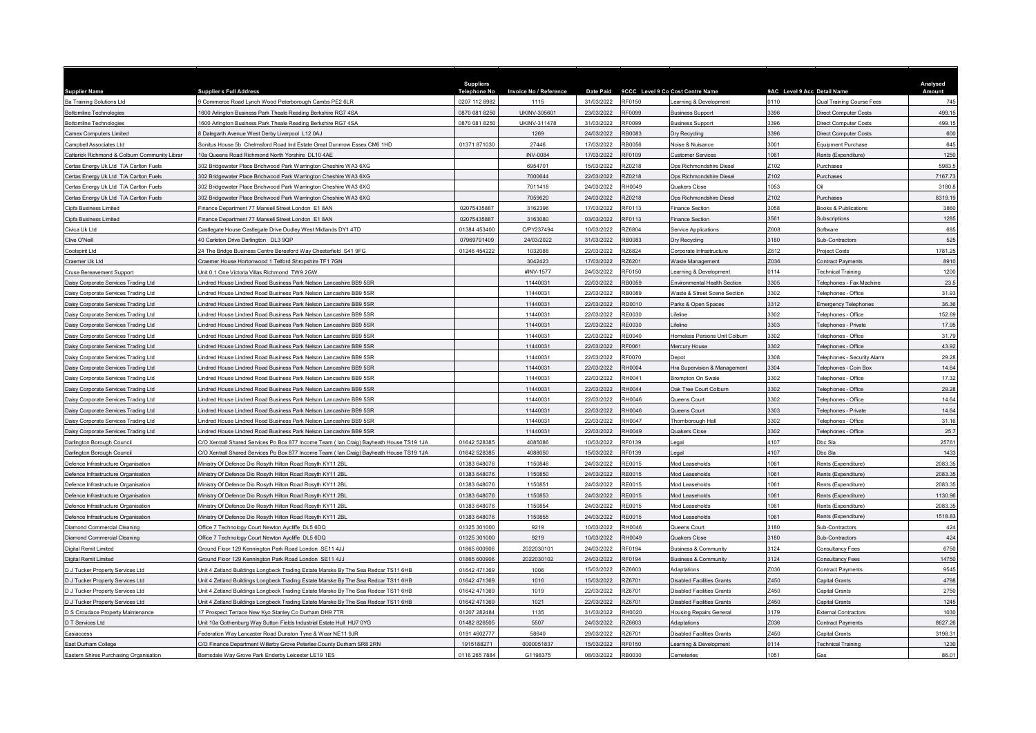|                                                                            |                                                                                                                          | <b>Suppliers</b>    |                               |                          |                  |                                   |                             |                                            | Analysed |
|----------------------------------------------------------------------------|--------------------------------------------------------------------------------------------------------------------------|---------------------|-------------------------------|--------------------------|------------------|-----------------------------------|-----------------------------|--------------------------------------------|----------|
| <b>Supplier Name</b>                                                       | <b>Supplier s Full Address</b>                                                                                           | <b>Telephone No</b> | <b>Invoice No / Reference</b> | <b>Date Paid</b>         |                  | 9CCC Level 9 Co Cost Centre Name  | 9AC Level 9 Acc Detail Name |                                            | Amount   |
| Ba Training Solutions Ltd                                                  | Commerce Road Lynch Wood Peterborough Cambs PE2 6LR                                                                      | 0207 112 8982       | 1115                          | 31/03/2022               | RF0150           | Learning & Development            | 0110                        | Qual Training Course Fees                  | 745      |
| <b>Bottomline Technologies</b>                                             | 600 Arlington Business Park Theale Reading Berkshire RG7 4SA                                                             | 0870 081 8250       | UKINV-305601                  | 23/03/2022               | RF0099           | <b>Business Support</b>           | 3396                        | Direct Computer Costs                      | 499.15   |
| ottomline Technologies                                                     | 600 Arlington Business Park Theale Reading Berkshire RG7 4SA                                                             | 0870 081 8250       | UKINV-311478                  | 31/03/2022               | RF0099           | <b>Business Support</b>           | 396                         | lirect Computer Costs                      | 499.15   |
| <b>Camex Computers Limited</b>                                             | Dalegarth Avenue West Derby Liverpool L12 0AJ                                                                            |                     | 1269                          | 24/03/2022               | RB0083           | Dry Recycling                     | 3396                        | lirect Computer Costs                      | 600      |
| Campbell Associates Ltd                                                    | Sonitus House 5b Chelmsford Road Ind Estate Great Dunmow Essex CM6 1HD                                                   | 01371 871030        | 27446                         | 17/03/2022               | RB0056           | Noise & Nuisance                  | 3001                        | Equipment Purchase                         | 645      |
| Catterick Richmond & Colburn Community Librar                              | 10a Queens Road Richmond North Yorshire DJ 10 4AF                                                                        |                     | <b>INV-0084</b>               | 17/03/2022               | RF0109           | Customer Services                 | 1061                        | Rents (Expenditure)                        | 1250     |
| Certas Energy Uk Ltd T/A Carlton Fuels                                     | 302 Bridgewater Place Brichwood Park Warrington Cheshire WA3 6XG                                                         |                     | 6954701                       | 15/03/2022               | RZ0218           | Ops Richmondshire Diesel          | Z102                        | Purchases                                  | 5983.5   |
| Certas Energy Uk Ltd T/A Carlton Fuels                                     | 302 Bridgewater Place Brichwood Park Warrington Cheshire WA3 6XG                                                         |                     | 7000644                       | 22/03/2022               | RZ0218           | Ops Richmondshire Diesel          | Z102                        | Purchases                                  | 7167.73  |
| Certas Energy Uk Ltd T/A Carlton Fuels                                     | 02 Bridgewater Place Brichwood Park Warrington Cheshire WA3 6XG                                                          |                     | 7011418                       | 24/03/2022               | RH0049           | Quakers Close                     | 1053                        |                                            | 3180.8   |
| Certas Energy Uk Ltd T/A Carlton Fuels                                     | 02 Bridgewater Place Brichwood Park Warrington Cheshire WA3 6XG                                                          |                     | 7059620                       | 24/03/2022               | RZ0218           | Ops Richmondshire Diese           | 2102                        | <sup>2</sup> urchases                      | 8319.19  |
| Cinfa Business Limited                                                     | inance Department 77 Mansell Street London E1 8AN                                                                        | 02075435887         | 3162396                       | 17/03/2022               | RF0113           | <b>Finance Section</b>            | 3058                        | looks & Publications                       | 3860     |
| Cipfa Business Limited                                                     | inance Department 77 Mansell Street London E1 8AN                                                                        | 02075435887         | 3163080                       | 03/03/2022               | RF0113           | <b>Finance Section</b>            | 3561                        | <b>iubscriptions</b>                       | 1285     |
| Civica Uk Ltd                                                              | Castlegate House Castlegate Drive Dudley West Midlands DY1 4TD                                                           | 01384 453400        | C/PY237494                    | 10/03/2022               | 376804           | Service Applications              | Z608                        | Software                                   | 685      |
| Clive O'Neill                                                              | 40 Carleton Drive Darlington DL3 9QP                                                                                     | 07969791409         | 24/03/2022                    | 31/03/2022               | RB0083           | Dry Recycling                     | 3180                        | <b>Sub-Contractors</b>                     | 525      |
| Coolspirit Ltd                                                             | 24 The Bridge Business Centre Beresford Way Chesterfield S41 9FG                                                         | 01246 454222        | 1032088                       | 22/03/2022               | RZ6824           | Corporate Infrastructure          | Z612                        | roiect Costs                               | 1781.25  |
| Craemer Uk I td                                                            | Craemer House Hortonwood 1 Telford Shropshire TF1 7GN                                                                    |                     | 3042423                       | 17/03/2022               | RZ6201           | Waste Management                  | 2036                        | Contract Payments                          | 8910     |
| Cruse Bereavement Support                                                  | Jnit 0.1 One Victoria Villas Richmond TW9 2GW                                                                            |                     | #INV-1577                     | 24/03/2022               | RF0150           | Learning & Development            | 0114                        | Fechnical Training                         | 1200     |
| Daisy Corporate Services Trading Ltd                                       | indred House Lindred Road Business Park Nelson Lancashire BB9 5SR                                                        |                     | 11440031                      | 22/03/2022               | RB0059           | Environmental Health Section      | 3305                        | Felephones - Fax Machine                   | 23.5     |
| Daisy Corporate Services Trading Ltd                                       | indred House Lindred Road Business Park Nelson Lancashire BB9 5SR                                                        |                     | 11440031                      | 22/03/2022               | RB0089           | Waste & Street Scene Section      | 3302                        | Felephones - Office                        | 31.93    |
| Daisy Corporate Services Trading Ltd                                       | indred House Lindred Road Business Park Nelson Lancashire BB9 5SR                                                        |                     | 11440031                      | 22/03/2022               | RD0010           | Parks & Open Spaces               | 3312                        | mergency Telephones                        | 36.36    |
| Daisy Corporate Services Trading Ltd                                       | indred House Lindred Road Business Park Nelson Lancashire BB9 5SR                                                        |                     | 11440031                      | 22/03/2022               | <b>RE0030</b>    | l ifeline                         | 3302                        | <b>Felephones - Office</b>                 | 152.69   |
| Daisy Corporate Services Trading Ltd                                       | indred House Lindred Road Business Park Nelson Lancashire BB9 5SR                                                        |                     | 11440031                      | 22/03/2022               | RE0030           | Lifeline                          | 3303                        | Felephones - Private                       | 17.95    |
| Daisy Corporate Services Trading Ltd                                       | indred House Lindred Road Business Park Nelson Lancashire BB9 5SR                                                        |                     | 11440031                      | 22/03/2022               | RF0040           | Homeless Persons Unit Colburn     | 3302                        | Telephones - Office                        | 31.79    |
| Daisy Corporate Services Trading Ltd                                       | indred House Lindred Road Business Park Nelson Lancashire BB9 5SR                                                        |                     | 11440031                      | 22/03/2022               | RF0061           | Mercury House                     | 3302                        | Felephones - Office                        | 43.92    |
| Daisy Corporate Services Trading Ltd                                       | indred House Lindred Road Business Park Nelson Lancashire BB9 5SR                                                        |                     | 11440031                      | 22/03/2022               | RF0070           | Depot                             | 3308                        | Telephones - Security Alarm                | 29.28    |
| Daisy Corporate Services Trading Ltd                                       | indred House Lindred Road Business Park Nelson Lancashire BB9 5SR                                                        |                     | 11440031                      | 22/03/2022               | RH0004           | Hra Supervision & Management      | 3304                        | Telephones - Coin Box                      | 14.64    |
| Daisy Corporate Services Trading Ltd                                       | indred House Lindred Road Business Park Nelson Lancashire BB9 5SF                                                        |                     | 11440031                      | 22/03/2022               | RH0041           | <b>Brompton On Swak</b>           | 3302                        | Felephones - Office                        | 17.32    |
| Daisy Corporate Services Trading Ltd                                       | indred House Lindred Road Business Park Nelson Lancashire BB9 5SR                                                        |                     | 11440031                      | 22/03/2022               | RH0044           | Oak Tree Court Colburn            | 3302                        | Telephones - Office                        | 29.28    |
| <b>Daisy Corporate Services Trading Ltd</b>                                | indred House Lindred Road Business Park Nelson Lancashire BB9 5SR                                                        |                     | 11440031                      | 22/03/2022               | RH0046           | Queens Court                      | 3302                        | Telephones - Office                        | 14.64    |
| Daisy Corporate Services Trading Ltd                                       | indred House Lindred Road Business Park Nelson Lancashire BB9 5SR                                                        |                     | 11440031                      | 22/03/2022               | RH0046           | Queens Court                      | 3303                        | elephones - Private                        | 14.64    |
| Daisy Corporate Services Trading Ltd                                       | indred House Lindred Road Business Park Nelson Lancashire BB9 5SR                                                        |                     | 11440031                      | 22/03/2022               | <b>RH0047</b>    | Thornborough Hall                 | 3302                        | Telephones - Office                        | 31.16    |
| Daisy Corporate Services Trading Ltd                                       | indred House Lindred Road Business Park Nelson Lancashire BB9 5SR                                                        |                     | 11440031                      | 22/03/2022               | RH0049           | Quakers Close                     | 3302                        | Telephones - Office                        | 25.7     |
| Darlington Borough Council                                                 | C/O Xentrall Shared Services Po Box 877 Income Team (Ian Craig) Bayheath House TS19 1JA                                  | 01642 52838         | 4085086                       | 10/03/2022               | RF0139           | egal                              | 4107                        | bc Sla                                     | 25761    |
| Darlington Borough Council                                                 | C/O Xentrall Shared Services Po Box 877 Income Team (Ian Craig) Bayheath House TS19 1JA                                  | 01642 528385        | 4088050                       | 15/03/2022               | RF0139           | Legal                             | 4107                        | Dbc Sla                                    | 1433     |
| Defence Infrastructure Organisation                                        | Ministry Of Defence Dio Rosyth Hilton Road Rosyth KY11 2BL                                                               | 01383 648076        | 1150846                       | 24/03/2022               | RE0015           | Mod Leaseholds                    | 1061                        | Rents (Expenditure)                        | 2083.35  |
| Defence Infrastructure Organisation                                        | linistry Of Defence Dio Rosyth Hilton Road Rosyth KY11 2BL                                                               | 01383 648076        | 1150850                       | 24/03/2022               | RE0015           | Mod Leaseholds                    | 1061                        | Rents (Expenditure)                        | 2083.35  |
| Defence Infrastructure Organisation                                        | Ministry Of Defence Dio Rosyth Hilton Road Rosyth KY11 2BL                                                               | 01383 648076        | 1150851                       | 24/03/2022               | <b>RE0015</b>    | Mod Leaseholds                    | 1061                        | Rents (Expenditure)                        | 2083.35  |
|                                                                            |                                                                                                                          | 01383 648076        | 1150853                       |                          |                  |                                   | 1061                        |                                            | 1130.96  |
| Defence Infrastructure Organisation<br>Defence Infrastructure Organisation | Ministry Of Defence Dio Rosyth Hilton Road Rosyth KY11 2BL<br>Ministry Of Defence Dio Rosyth Hilton Road Rosyth KY11 2BL | 01383 648076        | 1150854                       | 24/03/2022<br>24/03/2022 | RE0015<br>RF0015 | Mod Leaseholds<br>Mod Leaseholds  | 1061                        | Rents (Expenditure)<br>Rents (Expenditure) | 2083.35  |
|                                                                            |                                                                                                                          |                     |                               |                          |                  |                                   | 1061                        |                                            |          |
| Defence Infrastructure Organisation                                        | Ministry Of Defence Dio Rosyth Hilton Road Rosyth KY11 2BL                                                               | 01383 648076        | 1150855                       | 24/03/2022               | RE0015           | Mod Leaseholds                    |                             | <b>Rents (Expenditure)</b>                 | 1518.83  |
| Diamond Commercial Cleaning                                                | Office 7 Technology Court Newton Aycliffe DL5 6DQ                                                                        | 01325 301000        | 9219                          | 10/03/2022               | RH0046           | Queens Court                      | 3180<br>3180                | Sub-Contractors                            | 424      |
| <b>Diamond Commercial Cleaning</b>                                         | Office 7 Technology Court Newton Aycliffe DL5 6DQ                                                                        | 01325 301000        | 9219                          | 10/03/2022               | RH0049           | Quakers Close                     |                             | Sub-Contractors                            | 424      |
| <b>Digital Remit Limited</b>                                               | Ground Floor 129 Kennington Park Road London SE11 4JJ                                                                    | 01865 600906        | 2022030101                    | 24/03/2022               | RF0194           | <b>Business &amp; Community</b>   | 3124                        | <b>Consultancy Fees</b>                    | 6750     |
| <b>Digital Remit Limited</b>                                               | Ground Floor 129 Kennington Park Road London SE11 4JJ                                                                    | 01865 600906        | 2022030102                    | 24/03/2022               | RF0194           | <b>Business &amp; Community</b>   | 3124                        | Consultancy Fees                           | 14750    |
| D J Tucker Property Services Ltd                                           | Jnit 4 Zetland Buildings Longbeck Trading Estate Marske By The Sea Redcar TS11 6HB                                       | 01642 471369        | 1006                          | 15/03/2022               | R76603           | Adaptations                       | 7036                        | <b>Contract Payments</b>                   | 9545     |
| D J Tucker Property Services Ltd                                           | Init 4 Zetland Buildings Longbeck Trading Estate Marske By The Sea Redcar TS11 6HB                                       | 01642 471369        | 1016                          | 15/03/2022               | RZ6701           | Disabled Facilities Grants        | Z450                        | Capital Grants                             | 4798     |
| D.J Tucker Property Services Ltd                                           | Jnit 4 Zetland Buildings Longbeck Trading Estate Marske By The Sea Redcar TS11 6HB                                       | 01642 471369        | 1019                          | 22/03/2022               | RZ6701           | <b>Disabled Facilities Grants</b> | Z450                        | anital Grants                              | 2750     |
| D J Tucker Property Services Ltd                                           | Jnit 4 Zetland Buildings Longbeck Trading Estate Marske By The Sea Redcar TS11 6HB                                       | 01642 471369        | 1021                          | 22/03/2022               | RZ6701           | <b>Disabled Facilities Grants</b> | Z450                        | Capital Grants                             | 1245     |
| D S Croudace Property Maintenance                                          | 7 Prospect Terrace New Kyo Stanley Co Durham DH9 7TR                                                                     | 01207 282484        | 1135                          | 31/03/2022               | <b>RH0020</b>    | lousing Repairs General           | 3179                        | xternal Contractors                        | 1030     |
| D T Services Ltd                                                           | Jnit 10a Gothenburg Way Sutton Fields Industrial Estate Hull HU7 0YG                                                     | 01482 826505        | 5507                          | 24/03/2022               | RZ6603           | Adaptations                       | Z036                        | <b>Contract Payments</b>                   | 8627.26  |
| Easiaccess                                                                 | ederation Way Lancaster Road Dunston Tyne & Wear NE11 9JR                                                                | 0191 4602777        | 58640                         | 29/03/2022               | RZ6701           | <b>Disabled Facilities Grants</b> | Z450                        | apital Grants                              | 3198.31  |
| East Durham College                                                        | C/O Finance Department Willerby Grove Peterlee County Durham SR8 2RN                                                     | 1915188271          | 0000051837                    | 15/03/2022               | RF0150           | earning & Development             | 0114                        | Technical Training                         | 1230     |
| Eastern Shires Purchasing Organisation                                     | Barnsdale Way Grove Park Enderby Leicester LE19 1ES                                                                      | 0116 265 7884       | G1198375                      | 08/03/2022               | RB0030           | Cemeteries                        | 1051                        | Gas                                        | 86.01    |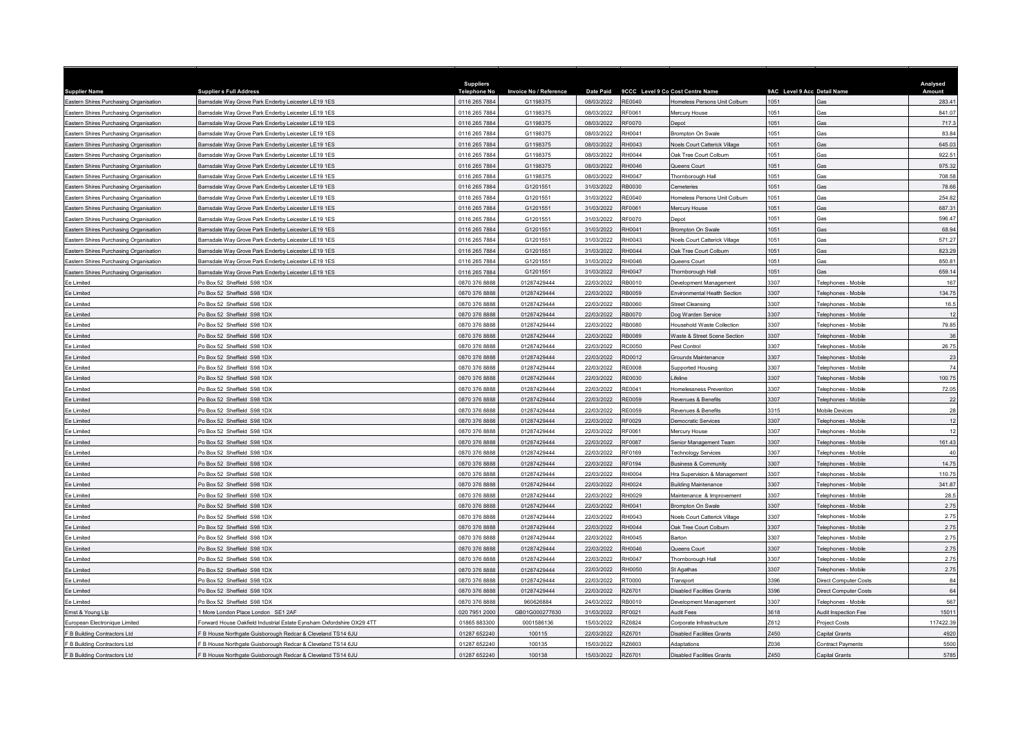| <b>Supplier Name</b>                   | <b>Supplier s Full Address</b>                                        | <b>Suppliers</b><br><b>Telephone No</b> | <b>Invoice No / Reference</b> | <b>Date Paid</b> |               | 9CCC Level 9 Co Cost Centre Name     | 9AC Level 9 Acc Detail Name |                            | Analysed<br>Amount |
|----------------------------------------|-----------------------------------------------------------------------|-----------------------------------------|-------------------------------|------------------|---------------|--------------------------------------|-----------------------------|----------------------------|--------------------|
| Eastern Shires Purchasing Organisation | Barnsdale Way Grove Park Enderby Leicester LE19 1ES                   | 0116 265 7884                           | G1198375                      | 08/03/2022       | <b>RE0040</b> | Homeless Persons Unit Colburn        | 1051                        | Gas                        | 283.41             |
| Eastern Shires Purchasing Organisation | Barnsdale Way Grove Park Enderby Leicester LE19 1ES                   | 0116 265 7884                           | G1198375                      | 08/03/2022       | RF0061        | Mercury House                        | 1051                        | <b>Gas</b>                 | 841.07             |
| Eastern Shires Purchasing Organisation | amsdale Way Grove Park Enderby Leicester LE19 1ES                     | 0116 265 7884                           | G1198375                      | 08/03/2022       | RF0070        | Depot                                | 051                         | as:                        | 717.3              |
| Eastern Shires Purchasing Organisation | larnsdale Way Grove Park Enderby Leicester LE19 1ES                   | 0116 265 7884                           | G1198375                      | 08/03/2022       | RH0041        | <b>Brompton On Swale</b>             | 1051                        | Gas                        | 83.84              |
| Eastern Shires Purchasing Organisation | Barnsdale Way Grove Park Enderby Leicester LE19 1ES                   | 0116 265 7884                           | G1198375                      | 08/03/2022       | RH0043        | Noels Court Catterick Village        | 1051                        | Gas                        | 645.03             |
| Eastern Shires Purchasing Organisation | amsdale Way Grove Park Enderby Leicester LE19 1ES                     | 0116 265 7884                           | G1198375                      | 08/03/2022       | RHOO44        | Oak Tree Court Colburn               | 1051                        | <b>Gas</b>                 | 922.51             |
| Eastern Shires Purchasing Organisation | amsdale Way Grove Park Enderby Leicester LE19 1ES                     | 0116 265 7884                           | G1198375                      | 08/03/2022       | RH0046        | Queens Court                         | 1051                        | Gas                        | 975.32             |
| Eastern Shires Purchasing Organisation | Barnsdale Way Grove Park Enderby Leicester LE19 1ES                   | 0116 265 7884                           | G1198375                      | 08/03/2022       | RH0047        | Thornborough Hall                    | 1051                        | <b>Gas</b>                 | 708.58             |
| Eastern Shires Purchasing Organisation | amsdale Way Grove Park Enderby Leicester LE19 1ES                     | 0116 265 7884                           | G1201551                      | 31/03/2022       | RB0030        | Cemeteries                           | 1051                        | àas                        | 78.66              |
| Eastern Shires Purchasing Organisation | arnsdale Way Grove Park Enderby Leicester LE19 1ES                    | 0116 265 7884                           | G1201551                      | 31/03/2022       | RE0040        | Iomeless Persons Unit Colburn        | 1051                        | <b>Gas</b>                 | 254.82             |
| Eastern Shires Purchasing Organisation | amsdale Way Grove Park Enderby Leicester LE19 1ES                     | 0116 265 7884                           | G1201551                      | 31/03/2022       | RF0061        | Mercury House                        | 1051                        | <b>Gas</b>                 | 687.31             |
| Eastern Shires Purchasing Organisation | 3amsdale Way Grove Park Enderby Leicester LE19 1ES                    | 0116 265 7884                           | G1201551                      | 31/03/2022       | RF0070        | <b>Depot</b>                         | 1051                        | Gas                        | 596.47             |
| Eastern Shires Purchasing Organisation | amsdale Way Grove Park Enderby Leicester LE19 1ES                     | 0116 265 7884                           | G1201551                      | 31/03/2022       | RH0041        | Brompton On Swale                    | 1051                        | Gas                        | 68.94              |
| Eastern Shires Purchasing Organisation | Barnsdale Way Grove Park Enderby Leicester LE19 1ES                   | 0116 265 7884                           | G1201551                      | 31/03/2022       | RH0043        | <b>Noels Court Catterick Village</b> | 1051                        | <b>Gas</b>                 | 571.27             |
| Eastern Shires Purchasing Organisation | Barnsdale Way Grove Park Enderby Leicester LE19 1ES                   | 0116 265 7884                           | G1201551                      | 31/03/2022       | RH0044        | Oak Tree Court Colburn               | 1051                        | Gas                        | 823.29             |
| Eastern Shires Purchasing Organisation | 3amsdale Way Grove Park Enderby Leicester LE19 1ES                    | 0116 265 7884                           | G1201551                      | 31/03/2022       | RH0046        | Queens Court                         | 1051                        | Gas                        | 850.81             |
| Eastern Shires Purchasing Organisation | 3amsdale Way Grove Park Enderby Leicester LE19 1ES                    | 0116 265 7884                           | G1201551                      | 31/03/2022       | RH0047        | Thornborough Hall                    | 1051                        | <b>Gas</b>                 | 659.14             |
| Ee Limited                             | Po Box 52 Sheffield S98 1DX                                           | 0870 376 8888                           | 01287429444                   | 22/03/2022       | RB0010        | Development Management               | 3307                        | <b>Telephones - Mobile</b> | 167                |
| Ee Limited                             | Po Box 52 Sheffield S98 1DX                                           | 0870 376 8888                           | 01287429444                   | 22/03/2022       | RB0059        | Environmental Health Section         | 3307                        | <b>Felephones - Mobile</b> | 134.75             |
| Ee Limited                             | O Box 52 Sheffield S98 1DX                                            | 0870 376 8888                           | 01287429444                   | 22/03/2022       | <b>RB0060</b> | <b>Street Cleansing</b>              | 3307                        | Felephones - Mobile        | 16.5               |
| Ee Limited                             | Po Box 52 Sheffield S98 1DX                                           | 0870 376 8888                           | 01287429444                   | 22/03/2022       | <b>RB0070</b> | Dog Warden Service                   | 3307                        | <b>Telephones - Mobile</b> | 12                 |
| Ee Limited                             | Po Box 52 Sheffield S98 1DX                                           | 0870 376 8888                           | 01287429444                   | 22/03/2022       | RB0080        | Household Waste Collection           | 3307                        | <b>Telephones - Mobile</b> | 79.85              |
| Ee Limited                             | Po Box 52 Sheffield S98 1DX                                           | 0870 376 8888                           | 01287429444                   | 22/03/2022       | RB0089        | Waste & Street Scene Section         | 3307                        | <b>Telephones - Mobile</b> | 36                 |
| Ee Limited                             | Po Box 52 Sheffield S98 1DX                                           | 0870 376 8888                           | 01287429444                   | 22/03/2022       | <b>RC0050</b> | Pest Control                         | 3307                        | <b>Felephones - Mobile</b> | 26.75              |
| Ee Limited                             | Po Box 52 Sheffield S98 1DX                                           | 0870 376 8888                           | 01287429444                   | 22/03/2022       | RD0012        | Grounds Maintenance                  | 3307                        | Felephones - Mobile        | 23                 |
| Ee Limited                             | o Box 52 Sheffield S98 1DX                                            | 0870 376 8888                           | 01287429444                   | 22/03/2022       | RE0008        | Supported Housing                    | 3307                        | Felephones - Mobile        | 74                 |
| Ee Limited                             | Po Box 52 Sheffield S98 1DX                                           | 0870 376 8888                           | 01287429444                   | 22/03/2022       | RF0030        | ifeline                              | 3307                        | <b>Felephones - Mobile</b> | 100.75             |
| Ee Limited                             | Po Box 52 Sheffield S98 1DX                                           | 0870 376 8888                           | 01287429444                   | 22/03/2022       | RE0041        | Homelessness Prevention              | 3307                        | <b>Telephones - Mobile</b> | 72.05              |
| Fe I imited                            | Po Box 52 Sheffield S98 1DX                                           | 0870 376 8888                           | 01287429444                   | 22/03/2022       | RE0059        | Revenues & Benefits                  | 3307                        | Telephones - Mobile        | 22                 |
| Ee Limited                             | Po Box 52 Sheffield S98 1DX                                           | 0870 376 8888                           | 01287429444                   | 22/03/2022       | <b>RE0059</b> | Revenues & Benefits                  | 3315                        | Mobile Devices             | 28                 |
| Ee Limited                             | Po Box 52 Sheffield S98 1DX                                           | 0870 376 8888                           | 01287429444                   | 22/03/2022       | RF0029        | Democratic Services                  | 3307                        | Telephones - Mobile        | 12                 |
| Fe I imited                            | Po Box 52 Sheffield S98 1DX                                           | 0870 376 8888                           | 01287429444                   | 22/03/2022       | RF0061        | Mercury House                        | 3307                        | Telephones - Mobile        | 12                 |
| Ee Limited                             | Po Box 52 Sheffield S98 1DX                                           | 0870 376 8888                           | 01287429444                   | 22/03/2022       | <b>RF0087</b> | Senior Management Team               | 3307                        | Felephones - Mobile        | 161.43             |
| Ee Limited                             | Po Box 52 Sheffield S98 1DX                                           | 0870 376 8888                           | 01287429444                   | 22/03/2022       | RF0169        | Technology Services                  | 3307                        | Telephones - Mobile        | 40                 |
| Ee Limited                             | Po Box 52 Sheffield S98 1DX                                           | 0870 376 8888                           | 01287429444                   | 22/03/2022       | RF0194        | Business & Community                 | 3307                        | <b>Telephones - Mobile</b> | 14.75              |
| Ee Limited                             | Po Box 52 Sheffield S98 1DX                                           | 0870 376 8888                           | 01287429444                   | 22/03/2022       | RH0004        | Hra Supervision & Management         | 3307                        | Felephones - Mobile        | 110.75             |
| Ee Limited                             | Po Box 52 Sheffield S98 1DX                                           | 0870 376 8888                           | 01287429444                   | 22/03/2022       | RH0024        | <b>Building Maintenance</b>          | 3307                        | <b>Telephones - Mobile</b> | 341.87             |
| Ee Limited                             | Po Box 52 Sheffield S98 1DX                                           | 0870 376 8888                           | 01287429444                   | 22/03/2022       | RH0029        | Maintenance & Improvement            | 3307                        | Felephones - Mobile        | 28.5               |
| Ee Limited                             | Po Box 52 Sheffield S98 1DX                                           | 0870 376 8888                           | 01287429444                   | 22/03/2022       | RH0041        | Brompton On Swale                    | 3307                        | Felephones - Mobile        | 2.75               |
| Fe I imited                            | Po Box 52 Sheffield S98 1DX                                           | 0870 376 8888                           | 01287429444                   | 22/03/2022       | RH0043        | Noels Court Catterick Village        | 3307                        | <b>Felephones - Mobile</b> | 2.75               |
| Ee Limited                             | Po Box 52 Sheffield S98 1DX                                           | 0870 376 8888                           | 01287429444                   | 22/03/2022       | RH0044        | Oak Tree Court Colburn               | 3307                        | Felephones - Mobile        | 2.75               |
| Ee Limited                             | Po Box 52 Sheffield S98 1DX                                           | 0870 376 8888                           | 01287429444                   | 22/03/2022       | RH0045        | <b>Barton</b>                        | 3307                        | Felephones - Mobile        | 2.75               |
| Ee Limited                             | Po Box 52 Sheffield S98 1DX                                           | 0870 376 8888                           | 01287429444                   | 22/03/2022       | RH0046        | Queens Court                         | 3307                        | Felephones - Mobile        | 2.75               |
| Ee Limited                             | Po Box 52 Sheffield S98 1DX                                           | 0870 376 8888                           | 01287429444                   | 22/03/2022       | RH0047        | Thornborough Hall                    | 3307                        | <b>Telephones - Mobile</b> | 2.75               |
| Ee Limited                             | Po Box 52 Sheffield S98 1DX                                           | 0870 376 8888                           | 01287429444                   | 22/03/2022       | RH0050        | St Agathas                           | 307                         | <b>Telephones - Mobile</b> | 2.75               |
| Ee Limited                             | Po Box 52 Sheffield S98 1DX                                           | 0870 376 8888                           | 01287429444                   | 22/03/2022       | <b>RT0000</b> | Transport                            | 3396                        | lirect Computer Costs      | 84                 |
| Ee Limited                             | Po Box 52 Sheffield S98 1DX                                           | 0870 376 8888                           | 01287429444                   | 22/03/2022       | R76701        | <b>Disabled Facilities Grants</b>    | 3396                        | Direct Computer Costs      | 64                 |
| Ee Limited                             | Po Box 52 Sheffield S98 1DX                                           | 0870 376 8888                           | 960626884                     | 24/03/2022       | RB0010        | Development Management               | 307                         | Felephones - Mobile        | 567                |
| Ernst & Young Llp                      | More London Place London SE1 2AF                                      | 020 7951 2000                           | GB01G000277630                | 31/03/2022       | RF0021        | <b>Audit Fees</b>                    | 3618                        | udit Inspection Fee        | 15011              |
| European Electronique Limited          | Forward House Oakfield Industrial Estate Eynsham Oxfordshire OX29 4TT | 01865 883300                            | 0001586136                    | 15/03/2022       | RZ6824        | Corporate Infrastructure             | Z612                        | Project Costs              | 117422.39          |
| F B Building Contractors Ltd           | B House Northgate Guisborough Redcar & Cleveland TS14 6JU             | 01287 652240                            | 100115                        | 22/03/2022       | <b>Z6701</b>  | Disabled Facilities Grants           | Z450                        | apital Grants              | 4920               |
| F B Building Contractors Ltd           | B House Northgate Guisborough Redcar & Cleveland TS14 6JU             | 01287 652240                            | 100135                        | 15/03/2022       | RZ6603        | Adaptations                          | Z036                        | <b>Contract Payments</b>   | 5500               |
| F B Building Contractors Ltd           | F B House Northgate Guisborough Redcar & Cleveland TS14 6JU           | 01287 652240                            | 100138                        | 15/03/2022       | RZ6701        | <b>Disabled Facilities Grants</b>    | Z450                        | Capital Grants             | 5785               |
|                                        |                                                                       |                                         |                               |                  |               |                                      |                             |                            |                    |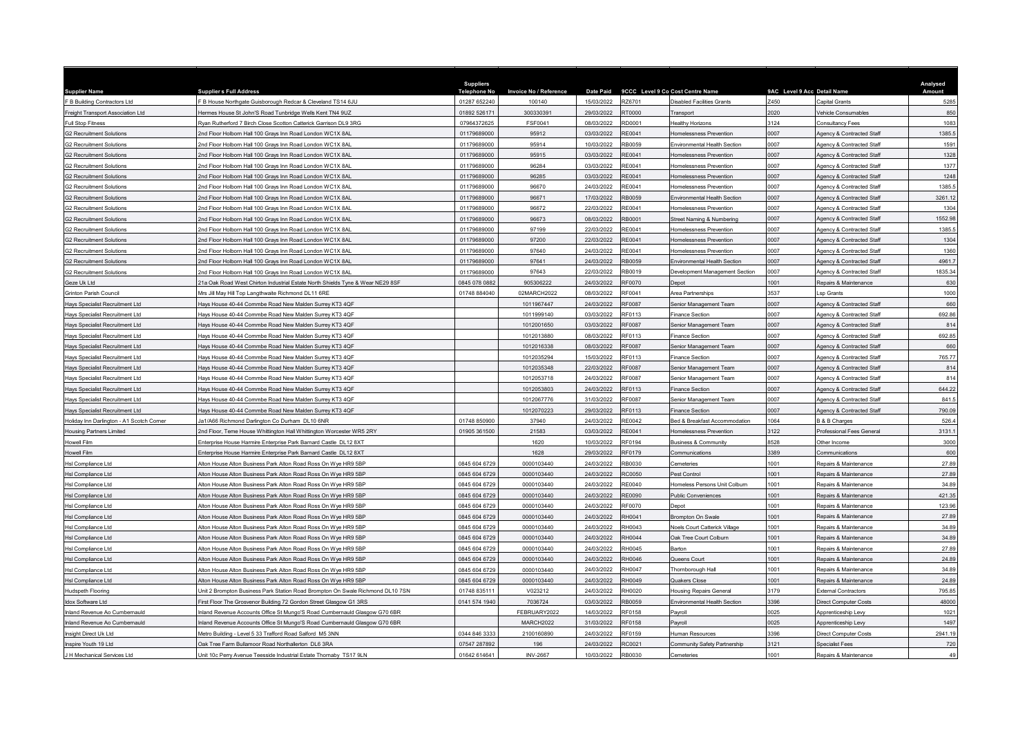| <b>Supplier Name</b>                      | <b>Supplier s Full Address</b>                                                 | <b>Suppliers</b><br><b>Telephone No</b> | Invoice No / Reference |            |               | Date Paid 9CCC Level 9 Co Cost Centre Name | 9AC Level 9 Acc Detail Name |                                     | Analysed<br>Amount |
|-------------------------------------------|--------------------------------------------------------------------------------|-----------------------------------------|------------------------|------------|---------------|--------------------------------------------|-----------------------------|-------------------------------------|--------------------|
| F B Building Contractors Ltd              | B House Northgate Guisborough Redcar & Cleveland TS14 6JU                      | 01287 652240                            | 100140                 | 15/03/2022 | R76701        | <b>Disabled Facilities Grants</b>          | 7450                        | apital Grants                       | 5285               |
| Freight Transport Association Ltd         | Jermes House St John'S Road Tunbridge Wells Kent TN4 9UZ                       | 01892 526171                            | 300330391              | 29/03/2022 | RT0000        | Transport                                  | 2020                        | /ehicle Consumables                 | 850                |
| Full Stop Fitness                         | <b>Rvan Rutherford 7 Birch Close Scotton Catterick Garrison DL9 3RG</b>        | 07964372625                             | FSF0041                | 08/03/2022 | RD0001        | <b>Healthy Horizons</b>                    | 3124                        | <b>Consultancy Fees</b>             | 1083               |
| G2 Recruitment Solutions                  | Ind Floor Holborn Hall 100 Grays Inn Road London WC1X 8AL                      | 01179689000                             | 95912                  | 03/03/2022 | RE0041        | Homelessness Prevention                    | 0007                        | Agency & Contracted Staff           | 1385.5             |
| <b>G2 Recruitment Solutions</b>           | Ind Floor Holborn Hall 100 Grays Inn Road London WC1X 8AL                      | 01179689000                             | 95914                  | 10/03/2022 | RB0059        | Environmental Health Section               | 0007                        | Agency & Contracted Staff           | 1591               |
| <b>G2 Recruitment Solutions</b>           | Ind Floor Holborn Hall 100 Grays Inn Road London WC1X 8AL                      | 01179689000                             | 95915                  | 03/03/2022 | RE0041        | Homelessness Prevention                    | 0007                        | Agency & Contracted Staff           | 1328               |
| <b>G2 Recruitment Solutions</b>           | nd Floor Holborn Hall 100 Grays Inn Road London WC1X 8AL                       | 01179689000                             | 96284                  | 03/03/2022 | RF0041        | Iomelessness Prevention                    | 0007                        | Agency & Contracted Staff           | 1377               |
| <b>G2 Recruitment Solutions</b>           | Ind Floor Holborn Hall 100 Grays Inn Road London WC1X 8AL                      | 01179689000                             | 96285                  | 03/03/2022 | RE0041        | Homelessness Preventior                    | 0007                        | Agency & Contracted Staff           | 1248               |
| <b>G2 Recruitment Solutions</b>           | Ind Floor Holborn Hall 100 Grays Inn Road London WC1X 8AL                      | 01179689000                             | 96670                  | 24/03/2022 | RE0041        | Homelessness Prevention                    | 0007                        | Agency & Contracted Staff           | 1385.5             |
| <b>G2 Recruitment Solutions</b>           | Ind Floor Holborn Hall 100 Grays Inn Road London WC1X 8AL                      | 01179689000                             | 96671                  | 17/03/2022 | RB0059        | Environmental Health Section               | 0007                        | Agency & Contracted Staff           | 3261.12            |
| G2 Recruitment Solutions                  | Ind Floor Holborn Hall 100 Grays Inn Road London WC1X 8AL                      | 01179689000                             | 96672                  | 22/03/2022 | RE0041        | <b>Homelessness Prevention</b>             | 0007                        | <b>Agency &amp; Contracted Staf</b> | 1304               |
| <b>G2 Recruitment Solutions</b>           | Ind Floor Holborn Hall 100 Grays Inn Road London WC1X 8AL                      | 01179689000                             | 96673                  | 08/03/2022 | RB0001        | Street Naming & Numbering                  | 0007                        | Agency & Contracted Staff           | 1552.98            |
| <b>32 Recruitment Solutions</b>           | nd Floor Holborn Hall 100 Grays Inn Road London WC1X 8AL                       | 01179689000                             | 97199                  | 22/03/2022 | RE0041        | Homelessness Prevention                    | 0007                        | Agency & Contracted Staff           | 1385.5             |
| <b>32 Recruitment Solutions</b>           | nd Floor Holborn Hall 100 Grays Inn Road London WC1X 8AL                       | 01179689000                             | 97200                  | 22/03/2022 | RE0041        | Homelessness Preventior                    | 0007                        | gency & Contracted Staff            | 1304               |
| G2 Recruitment Solutions                  | Ind Floor Holborn Hall 100 Grays Inn Road London WC1X 8AL                      | 01179689000                             | 97640                  | 24/03/2022 | RE0041        | Homelessness Prevention                    | 0007                        | Agency & Contracted Staff           | 1360               |
| 32 Recruitment Solutions                  | Ind Floor Holborn Hall 100 Grays Inn Road London WC1X 8AL                      | 01179689000                             | 97641                  | 24/03/2022 | RB0059        | <b>Environmental Health Section</b>        | 0007                        | Agency & Contracted Staff           | 4961.7             |
| <b>32 Recruitment Solutions</b>           | Ind Floor Holborn Hall 100 Grays Inn Road London WC1X 8AL                      | 01179689000                             | 97643                  | 22/03/2022 | RB0019        | Development Management Section             | 0007                        | Agency & Contracted Staff           | 1835.34            |
| Geze Uk Ltd                               | 1a Oak Road West Chirton Industrial Estate North Shields Tyne & Wear NE29 8SF  | 0845 078 0882                           | 905306222              | 24/03/2022 | RF0070        | Depot                                      | 1001                        | Repairs & Maintenance               | 630                |
| Grinton Parish Council                    | Ars Jill May Hill Top Langthwaite Richmond DL11 6RE                            | 01748 884040                            | 02MARCH2022            | 08/03/2022 | RF0041        | Area Partnerships                          | 3537                        | sp Grants                           | 1000               |
| Hays Specialist Recruitment Ltd           | lays House 40-44 Commbe Road New Malden Surrey KT3 4QF                         |                                         | 1011967447             | 24/03/2022 | RF0087        | Senior Management Team                     | 0007                        | Agency & Contracted Staf            | 660                |
| Havs Specialist Recruitment I td          | Jays House 40-44 Commbe Road New Malden Surrey KT3 4OF                         |                                         | 1011999140             | 03/03/2022 | <b>RE0113</b> | <b>Finance Section</b>                     | 0007                        | Agency & Contracted Staf            | 692.86             |
| Hays Specialist Recruitment Ltd           | lays House 40-44 Commbe Road New Malden Surrey KT3 4QF                         |                                         | 1012001650             | 03/03/2022 | RF0087        | Senior Management Team                     | 0007                        | Agency & Contracted Staff           | 814                |
| Hays Specialist Recruitment Ltd           | lays House 40-44 Commbe Road New Malden Surrey KT3 4QF                         |                                         | 1012013880             | 08/03/2022 | RF0113        | <b>Finance Section</b>                     | 0007                        | Agency & Contracted Staff           | 692.85             |
| Hays Specialist Recruitment Ltd           | lays House 40-44 Commbe Road New Malden Surrey KT3 4QF                         |                                         | 1012016338             | 08/03/2022 | RF0087        | Senior Management Team                     | 0007                        | <b>Agency &amp; Contracted Staf</b> | 660                |
| Havs Specialist Recruitment I td.         | lays House 40-44 Commbe Road New Malden Surrey KT3 4QF                         |                                         | 1012035294             | 15/03/2022 | RF0113        | <b>Finance Section</b>                     | 0007                        | Agency & Contracted Staff           | 765.77             |
| Hays Specialist Recruitment Ltd           | lays House 40-44 Commbe Road New Malden Surrey KT3 4QF                         |                                         | 1012035348             | 22/03/2022 | RF0087        | Senior Management Team                     | 0007                        | Agency & Contracted Staff           | 814                |
| Hays Specialist Recruitment Ltd           | Jays House 40-44 Commbe Road New Malden Surrey KT3 4OF                         |                                         | 1012053718             | 24/03/2022 | RF0087        | Senior Management Team                     | 0007                        | Agency & Contracted Staf            | 814                |
| Hays Specialist Recruitment Ltd           | lays House 40-44 Commbe Road New Malden Surrey KT3 4QF                         |                                         | 1012053803             | 24/03/2022 | RF0113        | <b>Finance Section</b>                     | 0007                        | Agency & Contracted Staff           | 644.22             |
| Hays Specialist Recruitment Ltd           | lays House 40-44 Commbe Road New Malden Surrey KT3 4QF                         |                                         | 1012067776             | 31/03/2022 | RE0087        | Senior Management Team                     | 0007                        | Agency & Contracted Staff           | 841.5              |
| Havs Specialist Recruitment Ltd           | lays House 40-44 Commbe Road New Malden Surrey KT3 4QF                         |                                         | 1012070223             | 29/03/2022 | RF0113        | <b>Finance Section</b>                     | 0007                        | Agency & Contracted Staff           | 790.09             |
| Holiday Inn Darlington - A1 Scotch Corner | Ja1/A66 Richmond Darlington Co Durham DL10 6NR                                 | 01748 850900                            | 37940                  | 24/03/2022 | RE0042        | Bed & Breakfast Accommodation              | 1064                        | 3 & B Charges                       | 526.4              |
| <b>Housing Partners Limited</b>           | nd Floor, Teme House Whittington Hall Whittington Worcester WR5 2RY            | 01905 361500                            | 21583                  | 03/03/2022 | RE0041        | Homelessness Prevention                    | 3122                        | Professional Fees General           | 3131.1             |
| Howell Film                               | nterprise House Harmire Enterprise Park Barnard Castle DL12 8XT                |                                         | 1620                   | 10/03/2022 | RF0194        | <b>Business &amp; Community</b>            | 8528                        | Other Income                        | 3000               |
| Howell Film                               | Interprise House Harmire Enterprise Park Barnard Castle, DJ 12 8XT             |                                         | 1628                   | 29/03/2022 | RF0179        | Communications                             | 3389                        | Communications                      | 600                |
| Hsl Compliance Ltd                        | Alton House Alton Business Park Alton Road Ross On Wye HR9 5BP                 | 0845 604 6729                           | 0000103440             | 24/03/2022 | RB0030        | Cemeteries                                 | 1001                        | Repairs & Maintenance               | 27.89              |
| Hsl Compliance Ltd                        | Iton House Alton Business Park Alton Road Ross On Wye HR9 5BP                  | 0845 604 6729                           | 0000103440             | 24/03/2022 | 3C0050        | Pest Control                               | 1001                        | Repairs & Maintenance               | 27.89              |
| Hsl Compliance Ltd                        | Alton House Alton Business Park Alton Road Ross On Wye HR9 5BP                 | 0845 604 6729                           | 0000103440             | 24/03/2022 | <b>RE0040</b> | Homeless Persons Unit Colburn              | 1001                        | Repairs & Maintenance               | 34.89              |
| Hsl Compliance Ltd                        | Alton House Alton Business Park Alton Road Ross On Wye HR9 5BP                 | 0845 604 6729                           | 0000103440             | 24/03/2022 | <b>RE0090</b> | Public Conveniences                        | 1001                        | Repairs & Maintenance               | 421.35             |
| <b>Hsl Compliance Ltd</b>                 | Alton House Alton Business Park Alton Road Ross On Wye HR9 5BP                 | 0845 604 6729                           | 0000103440             | 24/03/2022 | RF0070        | Depot                                      | 1001                        | Repairs & Maintenance               | 123.96             |
| Hsl Compliance Ltd                        | Alton House Alton Business Park Alton Road Ross On Wye HR9 5BP                 | 0845 604 6729                           | 0000103440             | 24/03/2022 | RH0041        | <b>Brompton On Swale</b>                   | 1001                        | Repairs & Maintenance               | 27.89              |
| Hsl Compliance Ltd                        | Alton House Alton Business Park Alton Road Ross On Wye HR9 5BP                 | 0845 604 6729                           | 0000103440             | 24/03/2022 | RH0043        | Noels Court Catterick Village              | 1001                        | Repairs & Maintenance               | 34.89              |
| Hsl Compliance Ltd                        | Alton House Alton Business Park Alton Road Ross On Wye HR9 5BP                 | 0845 604 6729                           | 0000103440             | 24/03/2022 | RHOO44        | Oak Tree Court Colburn                     | 001                         | Repairs & Maintenance               | 34.89              |
| Hsl Compliance Ltd                        | Alton House Alton Business Park Alton Road Ross On Wye HR9 5BF                 | 0845 604 6729                           | 0000103440             | 24/03/2022 | RH0045        | Barton                                     | 1001                        | Repairs & Maintenance               | 27.89              |
| Hsl Compliance I td                       | Alton House Alton Business Park Alton Road Ross On Wye HR9 5BP                 | 0845 604 6729                           | 0000103440             | 24/03/2022 | RH0046        | Queens Court                               | 1001                        | Repairs & Maintenance               | 24.89              |
| Hsl Compliance Ltd                        | Alton House Alton Business Park Alton Road Ross On Wye HR9 5BP                 | 0845 604 6729                           | 0000103440             | 24/03/2022 | RH0047        | Thornborough Hall                          | 1001                        | Repairs & Maintenance               | 34.89              |
| Hsl Compliance Ltd                        | Iton House Alton Business Park Alton Road Ross On Wye HR9 5BP                  | 0845 604 6729                           | 0000103440             | 24/03/2022 | RH0049        | Quakers Close                              | 1001                        | Repairs & Maintenance               | 24.89              |
| Hudspeth Flooring                         | Jnit 2 Brompton Business Park Station Road Brompton On Swale Richmond DL10 7SN | 01748 83511                             | V023212                | 24/03/2022 | RH0020        | Housing Repairs General                    | 3179                        | External Contractors                | 795.85             |
| Idox Software Ltd                         | First Floor The Grosvenor Building 72 Gordon Street Glasgow G1 3RS             | 0141 574 1940                           | 7036724                | 03/03/2022 | RB0059        | Environmental Health Section               | 3396                        | Direct Computer Costs               | 48000              |
| land Revenue Ao Cumbernauld               | land Revenue Accounts Office St Mungo'S Road Cumbernauld Glasgow G70 6BR       |                                         | FEBRUARY2022           | 14/03/2022 | RF0158        | Pavroll                                    | 025                         | Apprenticeship Levy                 | 1021               |
| Inland Revenue Ao Cumbernauld             | iland Revenue Accounts Office St Mungo'S Road Cumbernauld Glasgow G70 6BR      |                                         | MARCH2022              | 31/03/2022 | RF0158        | Payroll                                    | 0025                        | Apprenticeship Lew                  | 1497               |
| Insight Direct Uk Ltd                     | Aetro Building - Level 5 33 Trafford Road Salford M5 3NN                       | 0344 846 3333                           | 2100160890             | 24/03/2022 | RF0159        | Human Resources                            | 3396                        | Direct Computer Costs               | 2941.19            |
| nspire Youth 19 Ltd                       | Dak Tree Farm Bullamoor Road Northallerton DL6 3RA                             | 07547 287892                            | 196                    | 24/03/2022 | RC0021        | Community Safety Partnership               | 3121                        | <b>Specialist Fees</b>              | 720                |
| J H Mechanical Services Ltd               | Jnit 10c Perry Avenue Teesside Industrial Estate Thornaby TS17 9LN             | 01642 614641                            | <b>INV-2667</b>        | 10/03/2022 | RB0030        | Cemeteries                                 | 1001                        | Repairs & Maintenance               | 49                 |
|                                           |                                                                                |                                         |                        |            |               |                                            |                             |                                     |                    |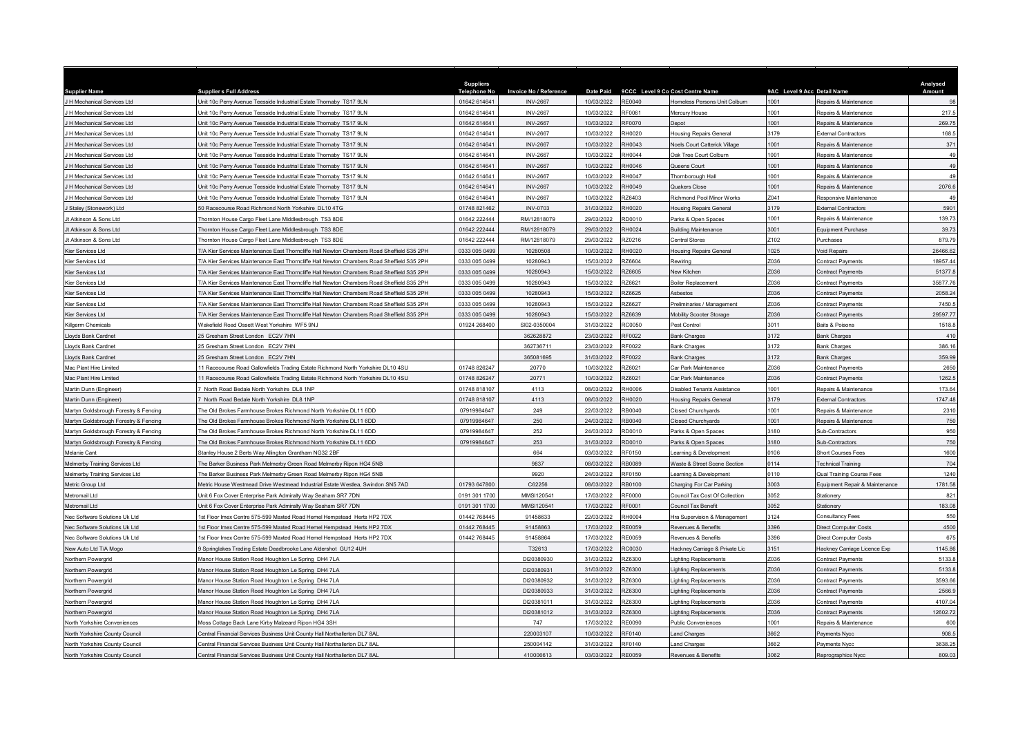|                                          |                                                                                                            | <b>Suppliers</b>    |                          |                          |                 |                                               |                             |                                               | Analysed |
|------------------------------------------|------------------------------------------------------------------------------------------------------------|---------------------|--------------------------|--------------------------|-----------------|-----------------------------------------------|-----------------------------|-----------------------------------------------|----------|
| <b>Supplier Name</b>                     | <b>Supplier s Full Address</b>                                                                             | <b>Telephone No</b> | Invoice No / Reference   | <b>Date Paid</b>         |                 | 9CCC Level 9 Co Cost Centre Name              | 9AC Level 9 Acc Detail Name |                                               | Amount   |
| H Mechanical Services Ltd                | Jnit 10c Perry Avenue Teesside Industrial Estate Thornaby TS17 9LN                                         | 01642 61464         | <b>INV-2667</b>          | 10/03/2022               | <b>RE0040</b>   | Homeless Persons Unit Colburn                 | 1001                        | Repairs & Maintenance                         | 98       |
| H Mechanical Services I td               | Init 10c Perry Avenue Teesside Industrial Estate Thornaby TS17 9LN                                         | 01642 614641        | <b>INV-2667</b>          | 10/03/2022               | RF0061          | Mercury House                                 | 1001                        | Repairs & Maintenance                         | 217.5    |
| H Mechanical Services Ltd                | Init 10c Perry Avenue Teesside Industrial Estate Thornaby TS17 9LN                                         | 01642 614641        | <b>INV-2667</b>          | 10/03/2022               | <b>RF0070</b>   | Depot                                         | 1001                        | Repairs & Maintenance                         | 269.75   |
| H Mechanical Services Ltd                | Jnit 10c Perry Avenue Teesside Industrial Estate Thornaby TS17 9LN                                         | 01642 614641        | <b>INV-2667</b>          | 10/03/2022               | RH0020          | <b>Housing Repairs General</b>                | 3179                        | External Contractors                          | 168.5    |
| H Mechanical Services Ltd                | Jnit 10c Perry Avenue Teesside Industrial Estate Thornaby TS17 9LN                                         | 01642 614641        | <b>INV-2667</b>          | 10/03/2022               | RH0043          | Noels Court Catterick Village                 | 1001                        | Repairs & Maintenance                         | 371      |
| H Mechanical Services Ltd                | Init 10c Perry Avenue Teesside Industrial Estate Thornaby TS17 9LN                                         | 01642 614641        | <b>INV-2667</b>          | 10/03/2022               | RH0044          | Oak Tree Court Colburn                        | 1001                        | Repairs & Maintenance                         | 49       |
| H Mechanical Services Ltd                | Init 10c Perry Avenue Teesside Industrial Estate Thornaby TS17 9LN                                         | 01642 614641        | <b>INV-2667</b>          | 10/03/2022               | RH0046          | Queens Court                                  | 1001                        | Repairs & Maintenance                         | 49       |
| H Mechanical Services Ltd                | Jnit 10c Perry Avenue Teesside Industrial Estate Thornaby TS17 9LN                                         | 01642 614641        | <b>INV-2667</b>          | 10/03/2022               | <b>RH0047</b>   | Thornborough Hall                             | 1001                        | Repairs & Maintenance                         | 49       |
| H Mechanical Services Ltd                | Init 10c Perry Avenue Teesside Industrial Estate Thornaby TS17 9LN                                         | 01642 614641        | <b>INV-2667</b>          | 10/03/2022               | RH0049          | Quakers Close                                 | 1001                        | Repairs & Maintenance                         | 2076.6   |
| H Mechanical Services Ltd                | hit 10c Perry Avenue Teesside Industrial Estate Thornaby TS17 9LN                                          | 01642 614641        | <b>INV-2667</b>          | 10/03/2022               | 376403          | Richmond Pool Minor Works                     | Z041                        | Responsive Maintenance                        | 49       |
| Staley (Stonework) Ltd                   | 0 Racecourse Road Richmond North Yorkshire DL10 4TG                                                        | 01748 821462        | <b>INV-0703</b>          | 31/03/2022               | RH0020          | <b>Housing Repairs General</b>                | 3179                        | External Contractors                          | 5901     |
| It Atkinson & Sons Ltd                   | hornton House Cargo Fleet Lane Middlesbrough TS3 8DE                                                       | 01642 222444        | RM/12818079              | 29/03/2022               | RD0010          | Parks & Open Spaces                           | 1001                        | Repairs & Maintenance                         | 139.73   |
| t Atkinson & Sons Ltd                    | Thornton House Cargo Fleet Lane Middlesbrough TS3 8DE                                                      | 01642 222444        | RM/12818079              | 29/03/2022               | RH0024          | <b>Building Maintenance</b>                   | 3001                        | <b>Equipment Purchase</b>                     | 39.73    |
| It Atkinson & Sons Ltd                   | Thornton House Cargo Fleet Lane Middlesbrough TS3 8DE                                                      | 01642 222444        | RM/12818079              | 29/03/2022               | RZ0216          | Central Stores                                | Z102                        | urchases                                      | 879.79   |
| Kier Services Ltd                        | F/A Kier Services Maintenance East Thorncliffe Hall Newton Chambers Road Sheffield S35 2PH                 | 0333 005 0499       | 10280508                 | 10/03/2022               | RH0020          | <b>Housing Repairs General</b>                | 1025                        | Void Repairs                                  | 26466.62 |
| Kier Services Ltd                        | 7A Kier Services Maintenance East Thorncliffe Hall Newton Chambers Road Sheffield S35 2PH                  | 0333 005 0499       | 10280943                 | 15/03/2022               | RZ6604          | Rewiring                                      | Z036                        | Contract Payments                             | 18957.44 |
| Kier Services Ltd                        | F/A Kier Services Maintenance East Thorncliffe Hall Newton Chambers Road Sheffield S35 2PH                 | 0333 005 0499       | 10280943                 | 15/03/2022               | RZ6605          | New Kitchen                                   | Z036                        | Contract Payments                             | 51377.8  |
| Kier Services Ltd                        | MA Kier Services Maintenance East Thorncliffe Hall Newton Chambers Road Sheffield S35 2PH                  | 0333 005 0499       | 10280943                 | 15/03/2022               | RZ6621          | <b>Boiler Replacement</b>                     | Z036                        | <b>Contract Payments</b>                      | 35877.76 |
| Kier Services Ltd                        | /A Kier Services Maintenance East Thorncliffe Hall Newton Chambers Road Sheffield S35 2PH                  | 0333 005 0499       | 10280943                 | 15/03/2022               | RZ6625          | Ashestos                                      | Z036                        | Contract Payments                             | 2058.24  |
| Kier Services Ltd                        | /A Kier Services Maintenance East Thorncliffe Hall Newton Chambers Road Sheffield S35 2PH                  | 0333 005 0499       | 10280943                 | 15/03/2022               | <b>226627</b>   | Preliminaries / Management                    | Z036                        | <b>Contract Payments</b>                      | 7450.5   |
| Kier Services Ltd                        | /A Kier Services Maintenance East Thorncliffe Hall Newton Chambers Road Sheffield S35 2PH                  | 0333 005 0499       | 10280943                 | 15/03/2022               | <b>Z6639</b>    | <b>Mobility Scooter Storage</b>               | 7036                        | ontract Payments                              | 29597.77 |
| Killgerm Chemicals                       | Wakefield Road Ossett West Yorkshire WF5 9NJ                                                               | 01924 268400        | SI02-0350004             | 31/03/2022               | RC0050          | Pest Control                                  | 3011                        | Baits & Poisons                               | 1518.8   |
| Lloyds Bank Cardnet                      | 5 Gresham Street London FC2V 7HN                                                                           |                     | 362628872                | 23/03/2022               | RF0022          | <b>Bank Charges</b>                           | 3172                        | ank Charges                                   | 410      |
| Lloyds Bank Cardnet                      | 5 Gresham Street London EC2V 7HN                                                                           |                     | 362736711                | 23/03/2022               | RF0022          | <b>Bank Charges</b>                           | 3172                        | ank Charges                                   | 386.16   |
| Lloyds Bank Cardnet                      | 25 Gresham Street London EC2V 7HN                                                                          |                     | 365081695                | 31/03/2022               | RF0022          | <b>Bank Charges</b>                           | 3172                        | ank Charges                                   | 359.99   |
| Mac Plant Hire Limited                   | 1 Racecourse Road Gallowfields Trading Estate Richmond North Yorkshire DL10 4SU                            | 01748 826247        | 20770                    | 10/03/2022               | <b>RZ6021</b>   | <b>Car Park Maintenance</b>                   | 036                         | <b>Contract Payments</b>                      | 2650     |
| Mac Plant Hire Limited                   | 1 Racecourse Road Gallowfields Trading Estate Richmond North Yorkshire DL10 4SU                            | 01748 826247        | 20771                    | 10/03/2022               | RZ6021          | Car Park Maintenance                          | Z036                        | Contract Payments                             | 1262.5   |
| Martin Dunn (Engineer)                   | North Road Bedale North Yorkshire DL8 1NP                                                                  | 01748 818107        | 4113                     | 08/03/2022               | RH0006          | Disabled Tenants Assistance                   | 1001                        | Repairs & Maintenance                         | 173.64   |
| Martin Dunn (Engineer)                   | North Road Bedale North Yorkshire DL8 1NP                                                                  | 01748 818107        | 4113                     | 08/03/2022               | RH0020          | <b>Housing Repairs General</b>                | 3179                        | <b>External Contractors</b>                   | 1747.48  |
| Martyn Goldsbrough Forestry & Fencing    | he Old Brokes Farmhouse Brokes Richmond North Yorkshire DL11 6DD                                           | 07919984647         | 249                      | 22/03/2022               | RB0040          | <b>Closed Churchvards</b>                     | 1001                        | Renairs & Maintenance                         | 2310     |
| Aartyn Goldsbrough Forestry & Fencing    | The Old Brokes Farmhouse Brokes Richmond North Yorkshire DL11 6DD                                          | 07919984647         | 250                      | 24/03/2022               | RB0040          | Closed Churchyards                            | 1001                        | Repairs & Maintenance                         | 750      |
| Aartyn Goldsbrough Forestry & Fencing    | he Old Brokes Farmhouse Brokes Richmond North Yorkshire DL11 6DD                                           | 07919984647         | 252                      | 24/03/2022               | RD0010          | Parks & Open Spaces                           | 3180                        | Sub-Contractors                               | 950      |
| Aartyn Goldsbrough Forestry & Fencing    | he Old Brokes Farmhouse Brokes Richmond North Yorkshire DL11 6DD                                           | 07919984647         | 253                      | 31/03/2022               | RD0010          | Parks & Open Spaces                           | 3180                        | iub-Contractors                               | 750      |
| Melanie Cant                             | Stanley House 2 Berts Way Allington Grantham NG32 2BF                                                      |                     | 664                      | 03/03/2022               | RF0150          | earning & Development                         | 0106                        | <b>Short Courses Fees</b>                     | 1600     |
| lelmerby Training Services Ltd           | The Barker Business Park Melmerby Green Road Melmerby Ripon HG4 5NB                                        |                     | 9837                     | 08/03/2022               | RB0089          | Waste & Street Scene Section                  | 0114                        | Fechnical Training                            | 704      |
| Melmerby Training Services Ltd           | he Barker Business Park Melmerby Green Road Melmerby Ripon HG4 5NB                                         |                     | 9920                     | 24/03/2022               | RF0150          | Learning & Development                        | 0110                        | Qual Training Course Fees                     | 1240     |
| Metric Group Ltd                         | Metric House Westmead Drive Westmead Industrial Estate Westlea, Swindon SN5 7AD                            | 01793 647800        | C62256                   | 08/03/2022               | RB0100          | Charging For Car Parking                      | 3003                        | <b>Equipment Repair &amp; Maintenance</b>     | 1781.58  |
| Aetromail I td                           | Jnit 6 Fox Cover Enterprise Park Admiralty Way Seaham SR7 7DN                                              | 0191 301 1700       | MMSI120541               | 17/03/2022               | <b>RF0000</b>   | Council Tax Cost Of Collection                | 3052                        | Stationery                                    | 821      |
| Aetromail Ltd                            | Jnit 6 Fox Cover Enterprise Park Admiralty Way Seaham SR7 7DN                                              | 0191 301 1700       | MMSI120541               | 17/03/2022               | RF0001          | <b>Council Tax Benefit</b>                    | 3052                        | <b>Stationery</b>                             | 183.08   |
| lec Software Solutions Uk Ltd            | st Floor Imex Centre 575-599 Maxted Road Hemel Hempstead Herts HP2 7DX                                     | 01442 768445        | 91458633                 | 22/03/2022               | RH0004          | Hra Supervision & Management                  | 3124                        | <b>Consultancy Fees</b>                       | 550      |
| Nec Software Solutions Uk Ltd            | st Floor Imex Centre 575-599 Maxted Road Hemel Hempstead Herts HP2 7DX                                     | 01442 76844         | 91458863                 | 17/03/2022               | RE0059          | Revenues & Benefits                           | 3396                        | Direct Computer Costs                         | 4500     |
| Nec Software Solutions Uk Ltd            | st Floor Imex Centre 575-599 Maxted Road Hemel Hempstead Herts HP2 7DX                                     | 01442 768445        | 91458864                 | 17/03/2022               | <b>RE0059</b>   | Revenues & Benefits                           | 3396                        | <b>Direct Computer Costs</b>                  | 675      |
| New Auto Ltd T/A Mogo                    | Springlakes Trading Estate Deadbrooke Lane Aldershot GU12 4UH                                              |                     | T32613                   | 17/03/2022               | RC0030          | Hackney Carriage & Private Lic                | 3151                        | Hackney Carriage Licence Exp                  | 1145.86  |
| Northern Powergrid                       | Manor House Station Road Houghton Le Spring DH4 7LA                                                        |                     | DI20380930               | 31/03/2022               | <b>226300</b>   | Lighting Replacements                         | 7036                        | <b>Contract Payments</b>                      | 5133.8   |
|                                          |                                                                                                            |                     | DI20380931               | 31/03/2022               | RZ6300          |                                               | Z036                        |                                               | 5133.8   |
| Northern Powergrid<br>Northern Powergrid | Manor House Station Road Houghton Le Spring DH4 7LA<br>Manor House Station Road Houghton Le Spring DH4 7LA |                     | DI20380932               | 31/03/2022               | RZ6300          | Lighting Replacements<br>ighting Replacements | Z036                        | Contract Payments<br><b>Contract Payments</b> | 3593.66  |
|                                          |                                                                                                            |                     |                          |                          |                 |                                               | Z036                        |                                               | 2566.9   |
| Northern Powergrid                       | Manor House Station Road Houghton Le Spring DH4 7LA                                                        |                     | DI20380933<br>DI20381011 | 31/03/2022<br>31/03/2022 | Z6300<br>RZ6300 | Lighting Replacements                         | Z036                        | ontract Payments                              | 4107.04  |
| Northern Powergrid                       | Manor House Station Road Houghton Le Spring DH4 7LA                                                        |                     |                          |                          |                 | Lighting Replacements                         | 036                         | Contract Payments                             |          |
| Northern Powerarid                       | Aanor House Station Road Houghton Le Spring DH4 7LA                                                        |                     | DI20381012               | 31/03/2022               | RZ6300          | ighting Replacements                          |                             | <b>Contract Payments</b>                      | 12602.72 |
| North Yorkshire Conveniences             | loss Cottage Back Lane Kirby Malzeard Ripon HG4 3SH                                                        |                     | 747                      | 17/03/2022               | RE0090          | <b>Public Conveniences</b>                    | 1001                        | Repairs & Maintenance                         | 600      |
| North Yorkshire County Council           | Central Financial Services Business Unit County Hall Northallerton DL7 8AL                                 |                     | 220003107                | 10/03/2022               | RF0140          | <b>Land Charges</b>                           | 3662                        | Payments Nycc                                 | 908.5    |
| North Yorkshire County Council           | Central Financial Services Business Unit County Hall Northallerton DL7 8AL                                 |                     | 250004142                | 31/03/2022               | RF0140          | Land Charges                                  | 3662                        | Payments Nycc                                 | 3638.25  |
| North Yorkshire County Council           | Central Financial Services Business Unit County Hall Northallerton DL7 8AL                                 |                     | 410006613                | 03/03/2022               | <b>RE0059</b>   | Revenues & Benefits                           | 3062                        | Reprographics Nycc                            | 809.03   |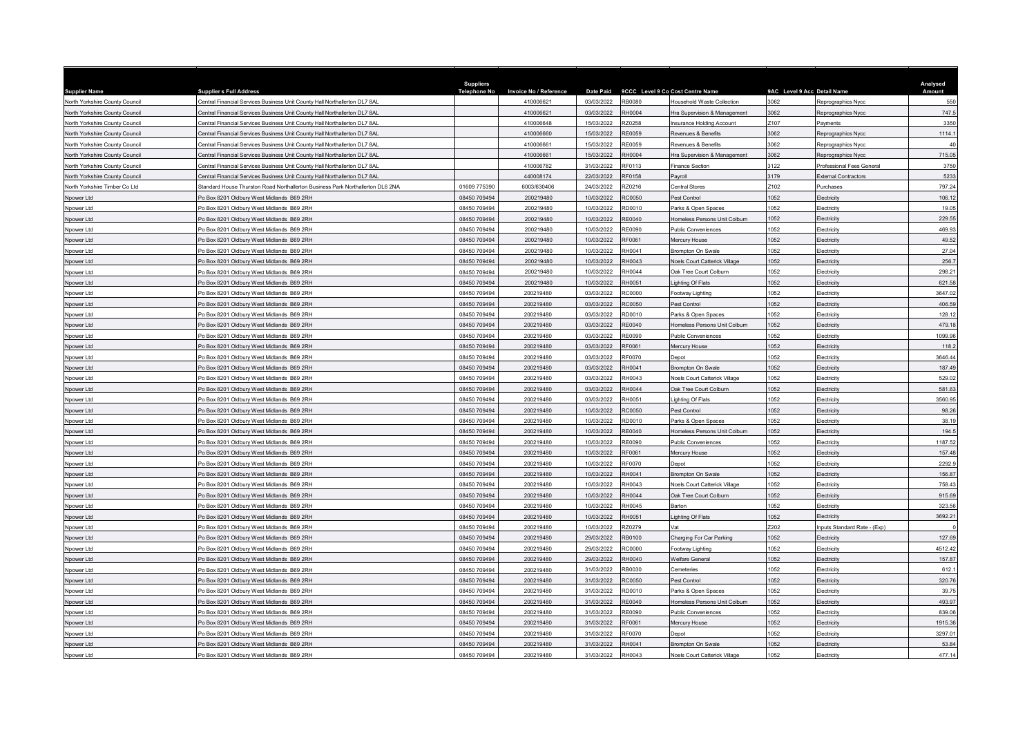| <b>Supplier Name</b>           | <b>Suppliers Full Address</b>                                                  | <b>Suppliers</b><br><b>Telephone No</b> | <b>Invoice No / Reference</b> | <b>Date Paid</b> |               | 9CCC Level 9 Co Cost Centre Name | 9AC Level 9 Acc Detail Name |                             | Analysed<br>Amount |
|--------------------------------|--------------------------------------------------------------------------------|-----------------------------------------|-------------------------------|------------------|---------------|----------------------------------|-----------------------------|-----------------------------|--------------------|
| North Yorkshire County Council | Central Financial Services Business Unit County Hall Northallerton DL7 8AL     |                                         | 410006621                     | 03/03/2022       | <b>RB0080</b> | Household Waste Collection       | 3062                        | Reprographics Nycc          | 550                |
| North Yorkshire County Council | Central Financial Services Business Unit County Hall Northallerton DL7 8AL     |                                         | 410006621                     | 03/03/2022       | RH0004        | Hra Supervision & Management     | 3062                        | Reprographics Nycc          | 747.5              |
| North Yorkshire County Council | Central Financial Services Business Unit County Hall Northallerton DL7 8AL     |                                         | 410006648                     | 15/03/2022       | <b>220258</b> | Insurance Holding Account        | Z107                        | avments                     | 3350               |
| North Yorkshire County Council | Central Financial Services Business Unit County Hall Northallerton DL7 8AL     |                                         | 410006660                     | 15/03/2022       | <b>RE0059</b> | <b>Revenues &amp; Benefits</b>   | 3062                        | Reprographics Nycc          | 1114.1             |
| North Yorkshire County Council | Central Financial Services Business Unit County Hall Northallerton DL7 8AL     |                                         | 410006661                     | 15/03/2022       | <b>RE0059</b> | Revenues & Benefits              | 3062                        | Reprographics Nyco          | 40                 |
| North Yorkshire County Council | Central Financial Services Business Unit County Hall Northallerton DL7 8AL     |                                         | 410006661                     | 15/03/2022       | RH0004        | Hra Supervision & Management     | 3062                        | eprographics Nycc           | 715.05             |
| North Yorkshire County Council | entral Financial Services Business Unit County Hall Northallerton DL7 8AL      |                                         | 410006782                     | 31/03/2022       | RF0113        | Finance Section                  | 3122                        | rofessional Fees General    | 3750               |
| North Yorkshire County Council | Central Financial Services Business Unit County Hall Northallerton DL7 8AL     |                                         | 440008174                     | 22/03/2022       | <b>RF0158</b> | Pavroll                          | 3179                        | External Contractors        | 5233               |
| North Yorkshire Timber Co Ltd  | Standard House Thurston Road Northallerton Business Park Northallerton DL6 2NA | 01609 775390                            | 6003/630406                   | 24/03/2022       | RZ0216        | Central Stores                   | Z102                        | urchases                    | 797.24             |
| Noower Ltd                     | o Box 8201 Oldbury West Midlands B69 2RH                                       | 08450 709494                            | 200219480                     | 10/03/2022       | <b>C0050</b>  | Pest Control                     | 1052                        | lectricity                  | 106.12             |
| Noower Ltd                     | O Box 8201 Oldbury West Midlands B69 2RH                                       | 08450 709494                            | 200219480                     | 10/03/2022       | RD0010        | Parks & Open Spaces              | 1052                        | Electricity                 | 19.05              |
| Npower Ltd                     | O Box 8201 Oldbury West Midlands B69 2RH                                       | 08450 709494                            | 200219480                     | 10/03/2022       | RE0040        | Homeless Persons Unit Colburn    | 1052                        | Electricity                 | 229.55             |
| Npower Ltd                     | O Box 8201 Oldbury West Midlands B69 2RH                                       | 08450 709494                            | 200219480                     | 10/03/2022       | RE0090        | <b>Public Conveniences</b>       | 052                         | <b>lectricity</b>           | 469.93             |
| Npower Ltd                     | o Box 8201 Oldbury West Midlands B69 2RH                                       | 08450 709494                            | 200219480                     | 10/03/2022       | RF0061        | Mercury House                    | 1052                        | lectricity                  | 49.52              |
| Npower Ltd                     | O Box 8201 Oldbury West Midlands B69 2RH                                       | 08450 709494                            | 200219480                     | 10/03/2022       | RH0041        | Brompton On Swale                | 1052                        | Electricity                 | 27.04              |
| Npower Ltd                     | O Box 8201 Oldbury West Midlands B69 2RH                                       | 08450 709494                            | 200219480                     | 10/03/2022       | RH0043        | Noels Court Catterick Village    | 052                         | <b>Hectricity</b>           | 256.7              |
| Npower Ltd                     | O Box 8201 Oldbury West Midlands B69 2RH                                       | 08450 709494                            | 200219480                     | 10/03/2022       | RH0044        | Oak Tree Court Colburn           | 1052                        | Electricity                 | 298.21             |
| Npower Ltd                     | O Box 8201 Oldbury West Midlands B69 2RH                                       | 08450 709494                            | 200219480                     | 10/03/2022       | RH0051        | Lighting Of Flats                | 1052                        | Electricity                 | 621.58             |
| Npower Ltd                     | O Box 8201 Oldbury West Midlands B69 2RH                                       | 08450 709494                            | 200219480                     | 03/03/2022       | RC0000        | Footway Lighting                 | 1052                        | Electricity                 | 3647.02            |
| Npower Ltd                     | O Box 8201 Oldbury West Midlands B69 2RH                                       | 08450 709494                            | 200219480                     | 03/03/2022       | RC0050        | Pest Control                     | 1052                        | lectricity                  | 406.59             |
| Npower Ltd                     | o Box 8201 Oldbury West Midlands B69 2RH                                       | 08450 709494                            | 200219480                     | 03/03/2022       | RD0010        | Parks & Open Spaces              | 1052                        | lectricity                  | 128.12             |
| Npower Ltd                     | O Box 8201 Oldbury West Midlands B69 2RH                                       | 08450 709494                            | 200219480                     | 03/03/2022       | RE0040        | Homeless Persons Unit Colburn    | 1052                        | lectricity                  | 479.18             |
| Npower Ltd                     | o Box 8201 Oldbury West Midlands B69 2RH                                       | 08450 709494                            | 200219480                     | 03/03/2022       | E0090         | Public Conveniences              | 052                         | lectricity                  | 1099.96            |
| Npower Ltd                     | o Box 8201 Oldbury West Midlands B69 2RH                                       | 08450 709494                            | 200219480                     | 03/03/2022       | RF0061        | Mercury House                    | 1052                        | lectricity                  | 118.2              |
| Npower Ltd                     | O Box 8201 Oldbury West Midlands B69 2RH                                       | 08450 709494                            | 200219480                     | 03/03/2022       | RF0070        | Depot                            | 1052                        | Electricity                 | 3646.44            |
| Nnower I td                    | O Box 8201 Oldbury West Midlands B69 2RH                                       | 08450 709494                            | 200219480                     | 03/03/2022       | RH0041        | Brompton On Swale                | 1052                        | lectricity                  | 187.49             |
| Npower Ltd                     | O Box 8201 Oldbury West Midlands B69 2RH                                       | 08450 709494                            | 200219480                     | 03/03/2022       | RH0043        | Noels Court Catterick Village    | 1052                        | lectricity                  | 529.02             |
| Npower Ltd                     | O Box 8201 Oldbury West Midlands B69 2RH                                       | 08450 709494                            | 200219480                     | 03/03/2022       | RH0044        | Oak Tree Court Colburn           | 1052                        | Electricity                 | 581.63             |
| Npower Ltd                     | O Box 8201 Oldbury West Midlands B69 2RH                                       | 08450 709494                            | 200219480                     | 03/03/2022       | RH0051        | ighting Of Flats                 | 1052                        | <b>lectricity</b>           | 3560.95            |
| Npower Ltd                     | o Box 8201 Oldbury West Midlands B69 2RH                                       | 08450 709494                            | 200219480                     | 10/03/2022       | <b>C0050</b>  | Pest Control                     | 1052                        | lectricity                  | 98.26              |
| Npower Ltd                     | o Box 8201 Oldbury West Midlands B69 2RH                                       | 08450 709494                            | 200219480                     | 10/03/2022       | RD0010        | Parks & Open Spaces              | 1052                        | lectricity                  | 38.19              |
| Npower Ltd                     | O Box 8201 Oldbury West Midlands B69 2RH                                       | 08450 709494                            | 200219480                     | 10/03/2022       | RF0040        | Homeless Persons Unit Colburn    | 052                         | <b>lectricity</b>           | 194.5              |
| Npower Ltd                     | O Box 8201 Oldbury West Midlands B69 2RH                                       | 08450 709494                            | 200219480                     | 10/03/2022       | RE0090        | <b>Public Conveniences</b>       | 1052                        | lectricity                  | 1187.52            |
| Npower Ltd                     | O Box 8201 Oldbury West Midlands B69 2RH                                       | 08450 709494                            | 200219480                     | 10/03/2022       | RF0061        | Mercury House                    | 1052                        | Electricity                 | 157.48             |
| Npower Ltd                     | O Box 8201 Oldbury West Midlands B69 2RH                                       | 08450 709494                            | 200219480                     | 10/03/2022       | <b>RF0070</b> | Depot                            | 052                         | <b>lectricity</b>           | 2292.9             |
| Npower Ltd                     | O Box 8201 Oldbury West Midlands B69 2RH                                       | 08450 709494                            | 200219480                     | 10/03/2022       | RH0041        | Brompton On Swale                | 1052                        | lectricity                  | 156.87             |
| Nnower I td                    | O Box 8201 Oldbury West Midlands B69 2RH                                       | 08450 709494                            | 200219480                     | 10/03/2022       | RH0043        | Noels Court Catterick Village    | 1052                        | <b>Hectricity</b>           | 758.43             |
| Npower Ltd                     | O Box 8201 Oldbury West Midlands B69 2RH                                       | 08450 709494                            | 200219480                     | 10/03/2022       | RH0044        | Oak Tree Court Colburn           | 1052                        | Electricity                 | 915.69             |
| Npower Ltd                     | O Box 8201 Oldbury West Midlands B69 2RH                                       | 08450 709494                            | 200219480                     | 10/03/2022       | H0045         | Barton                           | 052                         | lectricity                  | 323.56             |
| Npower Ltd                     | O Box 8201 Oldbury West Midlands B69 2RH                                       | 08450 709494                            | 200219480                     | 10/03/2022       | RH0051        | Lighting Of Flats                | 1052                        | <b>Hectricity</b>           | 3692.21            |
| Npower Ltd                     | O Box 8201 Oldbury West Midlands B69 2RH                                       | 08450 709494                            | 200219480                     | 10/03/2022       | RZ0279        | Vat                              | Z202                        | nputs Standard Rate - (Exp) |                    |
| Npower Ltd                     | O Box 8201 Oldbury West Midlands B69 2RH                                       | 08450 709494                            | 200219480                     | 29/03/2022       | RB0100        | Charging For Car Parking         | 052                         | Electricity                 | 127.69             |
| Npower Ltd                     | O Box 8201 Oldbury West Midlands B69 2RH                                       | 08450 709494                            | 200219480                     | 29/03/2022       | <b>RC0000</b> | Footway Lighting                 | 1052                        | lectricity                  | 4512.42            |
| Npower Ltd                     | O Box 8201 Oldbury West Midlands B69 2RH                                       | 08450 709494                            | 200219480                     | 29/03/2022       | RH0040        | <b>Welfare General</b>           | 1052                        | lectricity                  | 157.87             |
| Npower Ltd                     | O Box 8201 Oldbury West Midlands B69 2RH                                       | 08450 709494                            | 200219480                     | 31/03/2022       | RB0030        | Cemeteries                       | 052                         | lectricity                  | 612.1              |
| Npower Ltd                     | o Box 8201 Oldbury West Midlands B69 2RH                                       | 08450 709494                            | 200219480                     | 31/03/2022       | <b>RC0050</b> | Pest Control                     | 1052                        | lectricity                  | 320.76             |
| Npower Ltd                     | O Box 8201 Oldbury West Midlands B69 2RH                                       | 08450 709494                            | 200219480                     | 31/03/2022       | RD0010        | Parks & Open Spaces              | 1052                        | Electricity                 | 39.75              |
| Npower Ltd                     | o Box 8201 Oldbury West Midlands, B69 2RH                                      | 08450 709494                            | 200219480                     | 31/03/2022       | RE0040        | Homeless Persons Unit Colburn    | 1052                        | <b>lectricity</b>           | 493.97             |
| Npower Ltd                     | o Box 8201 Oldbury West Midlands B69 2RH                                       | 08450 709494                            | 200219480                     | 31/03/2022       | <b>RE0090</b> | <b>Public Conveniences</b>       | 1052                        | lectricity                  | 839.06             |
| Nnower I td                    | O Box 8201 Oldbury West Midlands B69 2RH                                       | 08450 709494                            | 200219480                     | 31/03/2022       | RF0061        | Mercury House                    | 1052                        | lectricity                  | 1915.36            |
| Npower Ltd                     | O Box 8201 Oldbury West Midlands B69 2RH                                       | 08450 709494                            | 200219480                     | 31/03/2022       | RF0070        | Depot                            | 1052                        | lectricity                  | 3297.01            |
| Npower Ltd                     | o Box 8201 Oldbury West Midlands B69 2RH                                       | 08450 709494                            | 200219480                     | 31/03/2022       | RH0041        | Brompton On Swale                | 1052                        | lectricity                  | 53.84              |
| Npower Ltd                     | Po Box 8201 Oldbury West Midlands B69 2RH                                      | 08450 709494                            | 200219480                     | 31/03/2022       | RH0043        | Noels Court Catterick Village    | 1052                        | Electricity                 | 477.14             |
|                                |                                                                                |                                         |                               |                  |               |                                  |                             |                             |                    |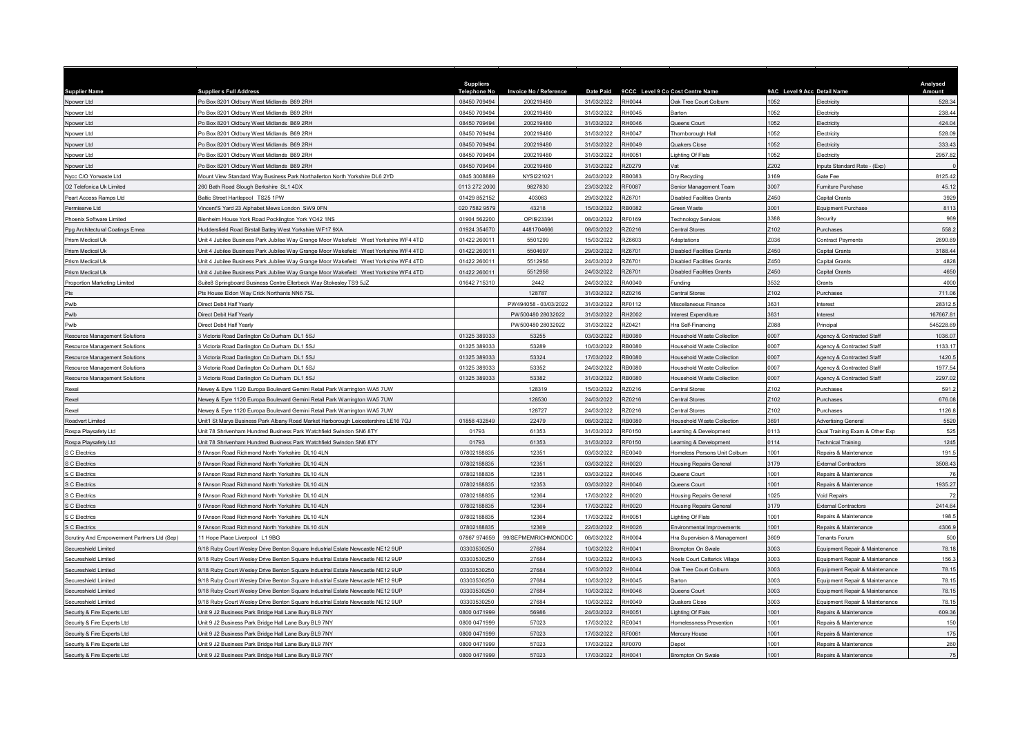|                                             |                                                                                                                                                                    | <b>Suppliers</b>            |                        |                          |                  |                                      |                             |                                                                  | Analysed        |
|---------------------------------------------|--------------------------------------------------------------------------------------------------------------------------------------------------------------------|-----------------------------|------------------------|--------------------------|------------------|--------------------------------------|-----------------------------|------------------------------------------------------------------|-----------------|
| <b>Supplier Name</b>                        | <b>Supplier s Full Address</b>                                                                                                                                     | <b>Telephone No</b>         | Invoice No / Reference | <b>Date Paid</b>         |                  | 9CCC Level 9 Co Cost Centre Name     | 9AC Level 9 Acc Detail Name |                                                                  | Amount          |
| Npower Ltd                                  | Po Box 8201 Oldbury West Midlands B69 2RH                                                                                                                          | 08450 709494                | 200219480              | 31/03/2022               | RH0044           | Oak Tree Court Colburn               | 1052                        | <b>lectricity</b>                                                | 528.34          |
| Nnower I td                                 | Po Box 8201 Oldbury West Midlands B69 2RH                                                                                                                          | 08450 709494                | 200219480              | 31/03/2022               | RH0045           | Barton                               | 1052                        | Electricity                                                      | 238.44          |
| Npower Ltd                                  | Po Box 8201 Oldbury West Midlands B69 2RH                                                                                                                          | 08450 709494                | 200219480              | 31/03/2022               | RH0046           | Queens Court                         | 1052                        | lectricity                                                       | 424.04          |
| Npower Ltd                                  | Po Box 8201 Oldbury West Midlands B69 2RH                                                                                                                          | 08450 709494                | 200219480              | 31/03/2022               | RH0047           | Thornborough Hall                    | 1052                        | lectricity                                                       | 528.09          |
| Npower Ltd                                  | Po Box 8201 Oldbury West Midlands B69 2RH                                                                                                                          | 08450 709494                | 200219480              | 31/03/2022               | RH0049           | <b>Quakers Close</b>                 | 1052                        | lectricity                                                       | 333.43          |
| Npower Ltd                                  | Po Box 8201 Oldbury West Midlands B69 2RH                                                                                                                          | 08450 709494                | 200219480              | 31/03/2022               | RH0051           | ighting Of Flats                     | 1052                        | Electricity                                                      | 2957.82         |
| Npower Ltd                                  | O Box 8201 Oldbury West Midlands B69 2RH                                                                                                                           | 08450 709494                | 200219480              | 31/03/2022               | <b>Z0279</b>     |                                      | 202                         | nputs Standard Rate - (Exp)                                      |                 |
| Nycc C/O Yorwaste Ltd                       | fount View Standard Way Business Park Northallerton North Yorkshire DL6 2YD                                                                                        | 0845 3008889                | NYSI221021             | 24/03/2022               | RB0083           | Dry Recycling                        | 3169                        | <b>Sate Fee</b>                                                  | 8125.42         |
| O2 Telefonica Uk Limited                    | 260 Bath Road Slough Berkshire SL1 4DX                                                                                                                             | 0113 272 2000               | 9827830                | 23/03/2022               | RF0087           | Senior Management Team               | 3007                        | urniture Purchase                                                | 45.12           |
| Peart Access Ramps Ltd                      | Baltic Street Hartlepool TS25 1PW                                                                                                                                  | 01429 852152                | 403063                 | 29/03/2022               | RZ6701           | Disabled Facilities Grants           | 7450                        | Capital Grants                                                   | 3929            |
| Permiserve Ltd                              | /incent'S Yard 23 Alphabet Mews London SW9 0FN                                                                                                                     | 020 7582 9579               | 43218                  | 15/03/2022               | <b>RB0082</b>    | <b>Green Waste</b>                   | 3001                        | Equipment Purchase                                               | 8113            |
| Phoenix Software Limited                    | Blenheim House York Road Pocklington York YO42 1NS                                                                                                                 | 01904 562200                | OP/I923394             | 08/03/2022               | RF0169           | <b>Technology Services</b>           | 3388                        | Security                                                         | 969             |
| Ppg Architectural Coatings Emea             | Huddersfield Road Birstall Batley West Yorkshire WF17 9XA                                                                                                          | 01924 354670                | 4481704666             | 08/03/2022               | 370216           | Central Stores                       | 102                         | <b>Purchases</b>                                                 | 558.2           |
| Prism Medical Uk                            | Jnit 4 Jubilee Business Park Jubilee Way Grange Moor Wakefield West Yorkshire WF4 4TD                                                                              | 01422 26001                 | 5501299                | 15/03/2022               | RZ6603           | Adaptations                          | 7036                        | <b>Contract Payments</b>                                         | 2690.69         |
| Prism Medical Uk                            | Unit 4 Jubilee Business Park Jubilee Way Grange Moor Wakefield West Yorkshire WF4 4TD                                                                              | 01422 26001                 | 5504697                | 29/03/2022               | RZ6701           | <b>Disabled Facilities Grants</b>    | Z450                        | Capital Grants                                                   | 3188.44         |
| Prism Medical Uk                            | Jnit 4 Jubilee Business Park Jubilee Way Grange Moor Wakefield West Yorkshire WF4 4TD                                                                              | 01422 260011                | 5512956                | 24/03/2022               | RZ6701           | <b>Disabled Facilities Grants</b>    | Z450                        | Capital Grants                                                   | 4828            |
| Prism Medical Uk                            | Jnit 4 Jubilee Business Park Jubilee Way Grange Moor Wakefield West Yorkshire WF4 4TD                                                                              | 01422 26001                 | 5512958                | 24/03/2022               | RZ6701           | <b>Disabled Facilities Grants</b>    | Z450                        | Capital Grants                                                   | 4650            |
| Proportion Marketing Limited                | Suite8 Springboard Business Centre Ellerbeck Way Stokesley TS9 5JZ                                                                                                 | 01642 715310                | 2442                   | 24/03/2022               | RA0040           | Funding                              | 3532                        | Grants                                                           | 4000            |
|                                             | Pts House Eldon Way Crick Northants NN6 7SL                                                                                                                        |                             | 128787                 | 31/03/2022               | RZ0216           | Central Stores                       | Z102                        | Purchases                                                        | 711.06          |
| Pwlb                                        | Direct Debit Half Yearly                                                                                                                                           |                             | PW494058 - 03/03/2022  | 31/03/2022               | RF0112           | Miscellaneous Finance                | 3631                        | nterest                                                          | 28312.5         |
| Pwlb                                        | Direct Debit Half Yearly                                                                                                                                           |                             | PW500480 28032022      | 31/03/2022               | RH2002           | nterest Expenditure                  | 3631                        | <b>nterest</b>                                                   | 167667.81       |
| Pwlb                                        | Direct Debit Half Yearly                                                                                                                                           |                             | PW500480 28032022      | 31/03/2022               | RZ0421           | Hra Self-Financing                   | Z088                        | Principal                                                        | 545228.69       |
| Resource Management Solutions               | Victoria Road Darlington Co Durham DL1 5SJ                                                                                                                         | 01325 389333                | 53255                  | 03/03/2022               | <b>RB0080</b>    | Household Waste Collection           | 0007                        | Agency & Contracted Staff                                        | 1036.07         |
| Resource Management Solutions               | Victoria Road Darlington Co Durham DI 15SJ                                                                                                                         | 01325 389333                | 53289                  | 10/03/2022               | RB0080           | lousehold Waste Collection           | 0007                        | Agency & Contracted Staff                                        | 1133.17         |
| Resource Management Solutions               | 3 Victoria Road Darlington Co Durham DL1 5SJ                                                                                                                       | 01325 389333                | 53324                  | 17/03/2022               | <b>RB0080</b>    | Household Waste Collection           | 0007                        | Agency & Contracted Staff                                        | 1420.5          |
| Resource Management Solutions               | Victoria Road Darlington Co Durham DL1 5SJ                                                                                                                         | 01325 389333                | 53352                  | 24/03/2022               | RB0080           | Household Waste Collection           | 0007                        | Agency & Contracted Staff                                        | 1977.54         |
| Resource Management Solutions               | 3 Victoria Road Darlington Co Durham DL1 5SJ                                                                                                                       | 01325 389333                | 53382                  | 31/03/2022               | <b>B0080</b>     | <b>Household Waste Collection</b>    | 0007                        | Agency & Contracted Staff                                        | 2297.02         |
| Rexel                                       | lewey & Eyre 1120 Europa Boulevard Gemini Retail Park Warrington WA5 7UW                                                                                           |                             | 128319                 | 15/03/2022               | RZ0216           | Central Stores                       | Z102                        | Purchases                                                        | 591.2           |
| Rexel                                       | lewey & Eyre 1120 Europa Boulevard Gemini Retail Park Warrington WA5 7UW                                                                                           |                             | 128530                 | 24/03/2022               | RZ0216           | Central Stores                       | 2102                        | Purchases                                                        | 676.08          |
| Rexel                                       | Vewey & Eyre 1120 Europa Boulevard Gemini Retail Park Warrington WA5 7UW                                                                                           |                             | 128727                 | 24/03/2022               | RZ0216           | Central Stores                       | Z102                        | Purchases                                                        | 1126.8          |
| Roadvert Limited                            | Unit1 St Marys Business Park Albany Road Market Harborough Leicestershire LE16 7QJ                                                                                 | 01858 432849                | 22479                  | 08/03/2022               | <b>RB0080</b>    | Household Waste Collection           | 3691                        | <b>Advertising General</b>                                       | 5520            |
| Rospa Playsafety Ltd                        | Jnit 78 Shrivenham Hundred Business Park Watchfield Swindon SN6 8TY                                                                                                | 01793                       | 61353                  | 31/03/2022               | RF0150           | earning & Development                | 0113                        | Qual Training Exam & Other Exp                                   | 525             |
| Rospa Playsafety Ltd                        | Jnit 78 Shrivenham Hundred Business Park Watchfield Swindon SN6 8TY                                                                                                | 01793                       | 61353                  | 31/03/2022               | RF0150           | earning & Development                | 0114                        | <b>Fechnical Training</b>                                        | 1245            |
| S C Electrics                               | l l'Anson Road Richmond North Yorkshire DL10 4LN                                                                                                                   | 07802188835                 | 12351                  | 03/03/2022               | <b>RE0040</b>    | Iomeless Persons Unit Colburn        | 1001                        | Repairs & Maintenance                                            | 191.5           |
| S C Electrics                               | FAnson Road Richmond North Yorkshire DL10 4LN                                                                                                                      | 07802188835                 | 12351                  | 03/03/2022               | RH0020           | <b>Housing Repairs General</b>       | 3179                        | <b>External Contractors</b>                                      | 3508.43         |
| S C Electrics                               | l l'Anson Road Richmond North Yorkshire DL10 4LN                                                                                                                   | 07802188835                 | 12351                  | 03/03/2022               | RH0046           | Queens Court                         | 1001                        | Repairs & Maintenance                                            | 76              |
| S C Electrics                               | 9 l'Anson Road Richmond North Yorkshire DL10 4LN                                                                                                                   | 07802188835                 | 12353                  | 03/03/2022               | RH0046           | Queens Court                         | 1001                        | Repairs & Maintenance                                            | 1935.27         |
| S C Electrics                               | 9 l'Anson Road Richmond North Yorkshire DL10 4LN                                                                                                                   | 07802188835                 | 12364                  | 17/03/2022               | RH0020           | <b>Housing Repairs General</b>       | 1025                        | <b>Void Repairs</b>                                              | 72              |
| S C Electrics                               | FAnson Road Richmond North Yorkshire DL10 4LN                                                                                                                      | 07802188835                 | 12364                  | 17/03/2022               | RH0020           | <b>Housing Repairs General</b>       | 3179                        | sternal Contractors                                              | 2414.64         |
| S C Electrics                               | 9 l'Anson Road Richmond North Yorkshire DL10 4LN                                                                                                                   | 07802188835                 | 12364                  | 17/03/2022               | RH0051           | Lighting Of Flats                    | 1001                        | Repairs & Maintenance                                            | 198.5           |
| S C Flectrics                               | 9 l'Anson Road Richmond North Yorkshire DL10 4LN                                                                                                                   | 07802188835                 | 12369                  | 22/03/2022               | RH0026           | <b>Environmental Improvements</b>    | 1001                        | Repairs & Maintenance                                            | 4306.9          |
| Scrutiny And Empowerment Partners Ltd (Sep) | 11 Hope Place Liverpool L1 9BG                                                                                                                                     | 07867 974659                | 99/SEPMEMRICHMONDDC    | 08/03/2022               | RH0004           | Hra Supervision & Management         | 3609                        | <b>Tenants Forum</b>                                             | 500             |
| Secureshield Limited                        | 9/18 Ruby Court Wesley Drive Benton Square Industrial Estate Newcastle NE12 9UP                                                                                    | 03303530250                 | 27684                  | 10/03/2022               | RH0041           | Brompton On Swale                    | 003                         | Equipment Repair & Maintenance                                   | 78.18           |
| Secureshield Limited                        | 9/18 Ruby Court Wesley Drive Benton Square Industrial Estate Newcastle NE12 9UP                                                                                    | 03303530250                 | 27684                  | 10/03/2022               | RH0043           | <b>Voels Court Catterick Village</b> | 3003                        | Equipment Repair & Maintenance                                   | 156.3           |
| Secureshield Limited                        |                                                                                                                                                                    | 03303530250                 | 27684                  | 10/03/2022               | RH0044           | Oak Tree Court Colburn               | 3003                        |                                                                  | 78.15           |
| Secureshield Limited                        | 9/18 Ruby Court Wesley Drive Benton Square Industrial Estate Newcastle NE12 9UP<br>9/18 Ruby Court Wesley Drive Benton Square Industrial Estate Newcastle NE12 9UP | 03303530250                 | 27684                  | 10/03/2022               | RH0045           | <b>Barton</b>                        | 3003                        | Equipment Repair & Maintenance<br>Equipment Repair & Maintenance | 78.15           |
|                                             |                                                                                                                                                                    | 03303530250                 | 27684                  | 10/03/2022               | RH0046           |                                      | 3003                        |                                                                  | 78.15           |
| Secureshield Limited                        | 9/18 Ruby Court Wesley Drive Benton Square Industrial Estate Newcastle NE12 9UP                                                                                    |                             |                        |                          |                  | Queens Court                         |                             | Equipment Repair & Maintenance                                   |                 |
| Secureshield Limited                        | 9/18 Ruby Court Wesley Drive Benton Square Industrial Estate Newcastle NE12 9UP                                                                                    | 03303530250<br>0800 0471999 | 27684<br>56986         | 10/03/2022<br>24/03/2022 | RH0049<br>RH0051 | Quakers Close                        | 3003<br>1001                | Equipment Repair & Maintenance                                   | 78.15<br>609.36 |
| Security & Fire Experts Ltd                 | Jnit 9 J2 Business Park Bridge Hall Lane Bury BL9 7NY                                                                                                              |                             |                        |                          |                  | ighting Of Flats                     |                             | Repairs & Maintenance                                            |                 |
| Security & Fire Experts Ltd                 | Jnit 9 J2 Business Park Bridge Hall Lane Bury BL9 7NY                                                                                                              | 0800 0471999                | 57023                  | 17/03/2022               | RE0041           | Homelessness Prevention              | 1001                        | <b>Repairs &amp; Maintenance</b>                                 | 150             |
| Security & Fire Experts Ltd                 | Jnit 9 J2 Business Park Bridge Hall Lane Bury BL9 7NY                                                                                                              | 0800 0471999                | 57023                  | 17/03/2022               | RF0061           | Mercury House                        | 1001                        | Repairs & Maintenance                                            | 175             |
| Security & Fire Experts Ltd                 | Jnit 9 J2 Business Park Bridge Hall Lane Bury BL9 7NY                                                                                                              | 0800 0471999                | 57023                  | 17/03/2022               | RF0070           | Depot                                | 1001                        | Repairs & Maintenance                                            | 260             |
| Security & Fire Experts Ltd                 | Unit 9 J2 Business Park Bridge Hall Lane Bury BL9 7NY                                                                                                              | 0800 0471999                | 57023                  | 17/03/2022               | RH0041           | Brompton On Swale                    | 1001                        | Repairs & Maintenance                                            | 75              |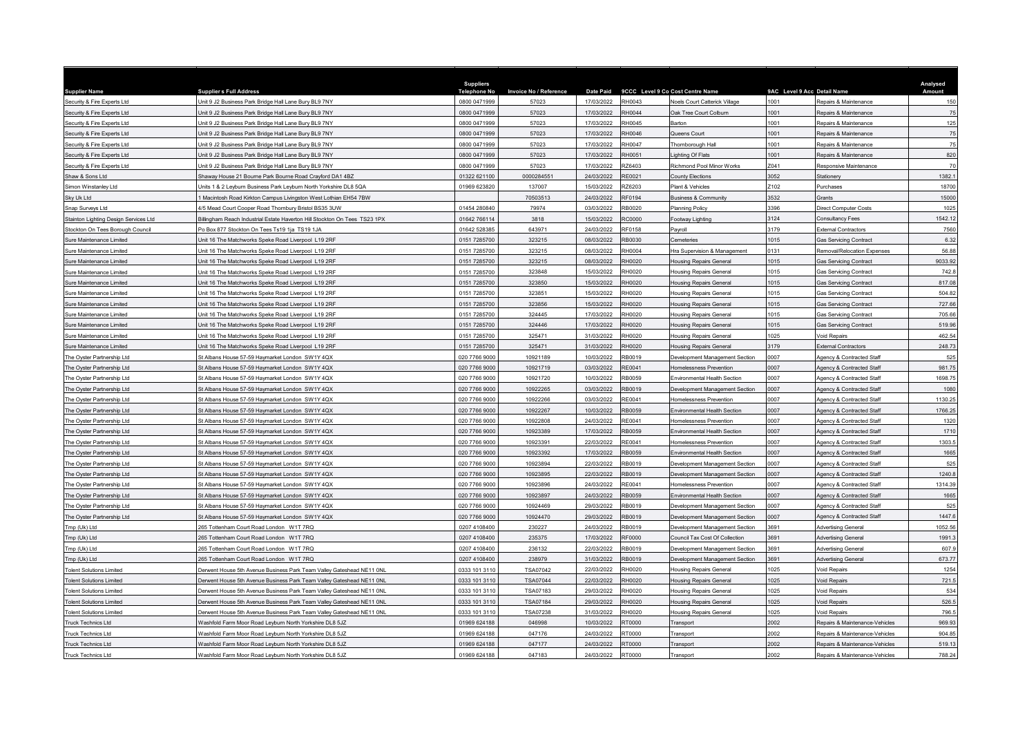| <b>Supplier Name</b>                                     | <b>Supplier s Full Address</b>                                             | <b>Suppliers</b><br><b>Telephone No</b> | <b>Invoice No / Reference</b> | <b>Date Paid</b>         |                  | 9CCC Level 9 Co Cost Centre Name                                 | 9AC Level 9 Acc Detail Name |                                     | Analysed<br>Amount |
|----------------------------------------------------------|----------------------------------------------------------------------------|-----------------------------------------|-------------------------------|--------------------------|------------------|------------------------------------------------------------------|-----------------------------|-------------------------------------|--------------------|
| Security & Fire Experts Ltd                              | Jnit 9 J2 Business Park Bridge Hall Lane Bury BL9 7NY                      | 0800 0471999                            | 57023                         | 17/03/2022               | RH0043           | Noels Court Catterick Village                                    | 1001                        | Repairs & Maintenance               | 150                |
| Security & Fire Experts Ltd                              | Jnit 9 J2 Business Park Bridge Hall Lane Bury BL9 7NY                      | 0800 0471999                            | 57023                         | 17/03/2022               | RH0044           | Oak Tree Court Colburn                                           | 1001                        | Repairs & Maintenance               | 75                 |
| ecurity & Fire Experts Ltd                               | Jnit 9 J2 Business Park Bridge Hall Lane Bury BL9 7NY                      | 0800 0471999                            | 57023                         | 17/03/2022               | RH0045           | <b>Barton</b>                                                    | 1001                        | Repairs & Maintenance               | 125                |
| ecurity & Fire Experts Ltd                               | Jnit 9 J2 Business Park Bridge Hall Lane Bury BL9 7NY                      | 0800 0471999                            | 57023                         | 17/03/2022               | RH0046           | Queens Court                                                     | 1001                        | Repairs & Maintenance               | 75                 |
| Security & Fire Experts Ltd                              | Jnit 9 J2 Business Park Bridge Hall Lane Bury BL9 7NY                      | 0800 0471999                            | 57023                         | 17/03/2022               | RH0047           | Thornborough Hall                                                | 1001                        | Repairs & Maintenance               | 75                 |
| Security & Fire Experts Ltd                              | Jnit 9 J2 Business Park Bridge Hall Lane Bury BL9 7NY                      | 0800 0471999                            | 57023                         | 17/03/2022               | RH0051           | ighting Of Flats                                                 | 1001                        | Repairs & Maintenance               | 820                |
| Security & Fire Experts Ltd                              | Jnit 9 J2 Business Park Bridge Hall Lane Bury BL9 7NY                      | 0800 0471999                            | 57023                         | 17/03/2022               | RZ6403           | Richmond Pool Minor Works                                        | Z041                        | Responsive Maintenance              | 70                 |
| Shaw & Sons Ltd                                          | Shaway House 21 Bourne Park Bourne Road Crayford DA1 4BZ                   | 01322 621100                            | 0000284551                    | 24/03/2022               | RE0021           | <b>County Elections</b>                                          | 3052                        | <b>Stationery</b>                   | 1382.1             |
| Simon Winstanley Ltd                                     | Jnits 1 & 2 Leyburn Business Park Leyburn North Yorkshire DL8 5QA          | 01969 623820                            | 137007                        | 15/03/2022               | <b>226203</b>    | Plant & Vehicles                                                 | Z102                        | Purchases                           | 18700              |
| Sky Uk I td                                              | Macintosh Road Kirkton Campus Livingston West Lothian EH54 7BW             |                                         | 70503513                      | 24/03/2022               | RF0194           | <b>Business &amp; Community</b>                                  | 3532                        | <b>Grants</b>                       | 15000              |
| Snap Surveys Ltd                                         | 1/5 Mead Court Cooper Road Thornbury Bristol BS35 3UW                      | 01454 280840                            | 79974                         | 03/03/2022               | RB0020           | <b>Planning Policy</b>                                           | 3396                        | <b>Direct Computer Costs</b>        | 1025               |
| Stainton Lighting Design Services Ltd                    | Billingham Reach Industrial Estate Haverton Hill Stockton On Tees TS23 1PX | 01642 766114                            | 3818                          | 15/03/2022               | RC0000           | Footway Lighting                                                 | 3124                        | <b>Consultancy Fees</b>             | 1542.12            |
| Stockton On Tees Borough Council                         | o Box 877 Stockton On Tees Ts19 1ja TS19 1JA                               | 01642 52838                             | 643971                        | 24/03/2022               | RF0158           | Payroll                                                          | 3179                        | <b>External Contractors</b>         | 7560               |
| iure Maintenance Limited                                 | Jnit 16 The Matchworks Speke Road Liverpool L19 2RF                        | 0151 7285700                            | 323215                        | 08/03/2022               | RB0030           | Cemeteries                                                       | 1015                        | Gas Servicing Contract              | 6.32               |
| ure Maintenance Limited                                  | Jnit 16 The Matchworks Speke Road Liverpool L19 2RF                        | 0151 7285700                            | 323215                        | 08/03/2022               | RH0004           | Hra Supervision & Management                                     | 0131                        | <b>Removal/Relocation Expenses</b>  | 56.88              |
| ure Maintenance Limited                                  | Jnit 16 The Matchworks Speke Road Liverpool L19 2RF                        | 0151 7285700                            | 323215                        | 08/03/2022               | RH0020           | <b>Housing Repairs General</b>                                   | 1015                        | <b>Sas Servicing Contract</b>       | 9033.92            |
| ure Maintenance Limited                                  | Jnit 16 The Matchworks Speke Road Liverpool L19 2RF                        | 0151 7285700                            | 323848                        | 15/03/2022               | RH0020           | <b>Housing Repairs General</b>                                   | 1015                        | <b>Gas Servicing Contract</b>       | 742.8              |
| ure Maintenance Limited                                  | Jnit 16 The Matchworks Speke Road Liverpool L19 2RF                        | 0151 7285700                            | 323850                        | 15/03/2022               | RH0020           | <b>Housing Repairs General</b>                                   | 1015                        | as Servicing Contract               | 817.08             |
| ure Maintenance Limited                                  | Jnit 16 The Matchworks Speke Road Liverpool L19 2RF                        | 0151 7285700                            | 323851                        | 15/03/2022               | RH0020           | Housing Repairs General                                          | 1015                        | <b>Gas Servicing Contract</b>       | 504.82             |
| ure Maintenance Limited                                  | nit 16 The Matchworks Speke Road Liverpool L19 2RF                         | 0151 7285700                            | 323856                        | 15/03/2022               | RH0020           | <b>Housing Repairs General</b>                                   | 1015                        | <b>Sas Servicing Contract</b>       | 727.66             |
| Sure Maintenance Limited                                 | Jnit 16 The Matchworks Speke Road Liverpool 119 2RF                        | 0151 7285700                            | 324445                        | 17/03/2022               | RH0020           | Housing Repairs Genera                                           | 1015                        | <b>Sas Servicing Contract</b>       | 705.66             |
| ure Maintenance Limited                                  | Jnit 16 The Matchworks Speke Road Liverpool L19 2RF                        | 0151 7285700                            | 324446                        | 17/03/2022               | RH0020           | <b>Housing Repairs General</b>                                   | 1015                        | Gas Servicing Contract              | 519.96             |
| ure Maintenance Limited                                  | Init 16 The Matchworks Speke Road Liverpool L19 2RF                        | 0151 7285700                            | 325471                        | 31/03/2022               | RH0020           | <b>Housing Repairs General</b>                                   | 1025                        | oid Repairs                         | 462.54             |
| ure Maintenance Limited                                  | Init 16 The Matchworks Speke Road Liverpool L19 2RF                        | 0151 7285700                            | 325471                        | 31/03/2022               | RH0020           | Housing Repairs Genera                                           | 3179                        | External Contractors                | 248.73             |
| The Oyster Partnership Ltd                               | St Albans House 57-59 Haymarket London SW1Y 4QX                            | 020 7766 9000                           | 10921189                      | 10/03/2022               | RB0019           | Development Management Section                                   | 0007                        | Agency & Contracted Staff           | 525                |
| The Oyster Partnership Ltd                               | St Albans House 57-59 Haymarket London SW1Y 4QX                            | 020 7766 9000                           | 10921719                      | 03/03/2022               | RE0041           | Homelessness Prevention                                          | 0007                        | Agency & Contracted Staff           | 981.75             |
| The Oyster Partnership Ltd                               | It Albans House 57-59 Haymarket London SW1Y 4QX                            | 020 7766 900                            | 10921720                      | 10/03/2022               | RB0059           | Environmental Health Section                                     | 0007                        | <b>Agency &amp; Contracted Staf</b> | 1698.75            |
| The Oyster Partnership I td                              | St Albans House 57-59 Haymarket London SW1Y 4QX                            | 020 7766 9000                           | 10922265                      | 03/03/2022               | RB0019           | Development Management Section                                   | 0007                        | Agency & Contracted Staff           | 1080               |
| The Ovster Partnership I td                              | It Albans House 57-59 Haymarket London SW1Y 4QX                            | 020 7766 9000                           | 10922266                      | 03/03/2022               | RE0041           | Homelessness Prevention                                          | 0007                        | Agency & Contracted Staff           | 1130.25            |
| The Oyster Partnership Ltd                               | St Albans House 57-59 Haymarket London SW1Y 4QX                            | 020 7766 9000                           | 10922267                      | 10/03/2022               | RB0059           | Environmental Health Section                                     | 0007                        | Agency & Contracted Staff           | 1766.25            |
| The Oyster Partnership Ltd                               | St Albans House 57-59 Haymarket London SW1Y 4QX                            | 020 7766 9000                           | 10922808                      | 24/03/2022               | RE0041           | Homelessness Prevention                                          | 0007                        | Agency & Contracted Staff           | 1320               |
| The Oyster Partnership Ltd                               | t Albans House 57-59 Haymarket London SW1Y 4QX                             | 020 7766 9000                           | 10923389                      | 17/03/2022               | RB0059           | Environmental Health Section                                     | 0007                        | Agency & Contracted Staff           | 1710               |
| The Oyster Partnership Ltd                               | t Albans House 57-59 Haymarket London SW1Y 4QX                             | 020 7766 9000                           | 10923391                      | 22/03/2022               | RE0041           | Homelessness Prevention                                          | 0007                        | Agency & Contracted Staff           | 1303.5             |
| The Ovster Partnership I td                              | St Albans House 57-59 Haymarket London SW1Y 4QX                            | 020 7766 9000                           | 10923392                      | 17/03/2022               | RB0059           | Environmental Health Section                                     | 0007                        | Agency & Contracted Staff           | 1665               |
| The Ovster Partnership Ltd                               | St Albans House 57-59 Haymarket London SW1Y 4QX                            | 020 7766 9000                           | 10923894                      | 22/03/2022               | RB0019           |                                                                  | 0007                        | <b>Agency &amp; Contracted Staf</b> | 525                |
|                                                          | t Albans House 57-59 Haymarket London, SW1Y 4OX                            | 020 7766 9000                           | 10923895                      | 22/03/2022               | RB0019           | Development Management Section                                   | 0007                        |                                     |                    |
| The Oyster Partnership Ltd<br>The Ovster Partnership Ltd | St Albans House 57-59 Haymarket London, SW1Y 4OX                           | 020 7766 9000                           | 10923896                      | 24/03/2022               | RE0041           | Development Management Section<br><b>Homelessness Prevention</b> | 0007                        | Agency & Contracted Staff           | 1240.8<br>1314.39  |
|                                                          |                                                                            |                                         |                               |                          |                  |                                                                  |                             | Agency & Contracted Staf            |                    |
| The Oyster Partnership Ltd                               | St Albans House 57-59 Haymarket London SW1Y 4QX                            | 020 7766 9000<br>020 7766 9000          | 10923897<br>10924469          | 24/03/2022<br>29/03/2022 | RB0059<br>RB0019 | Environmental Health Section                                     | 0007<br>0007                | Agency & Contracted Staff           | 1665               |
| The Oyster Partnership Ltd                               | It Albans House 57-59 Haymarket London SW1Y 4QX                            |                                         |                               |                          |                  | Development Management Section                                   | 0007                        | Agency & Contracted Staff           | 525                |
| The Oyster Partnership Ltd                               | St Albans House 57-59 Haymarket London SW1Y 4QX                            | 020 7766 9000                           | 10924470                      | 29/03/2022               | RB0019           | Development Management Section                                   |                             | Agency & Contracted Staf            | 1447.6             |
| Tmp (Uk) Ltd                                             | 265 Tottenham Court Road London W1T 7RQ                                    | 0207 4108400                            | 230227                        | 24/03/2022               | RB0019           | Development Management Section                                   | 3691                        | <b>Advertising General</b>          | 1052.56            |
| Tmp (Uk) Ltd                                             | 65 Tottenham Court Road London W1T 7RQ                                     | 0207 4108400                            | 235375                        | 17/03/2022               | RF0000           | Council Tax Cost Of Collection                                   | 691                         | <b>Advertising General</b>          | 1991.3             |
| Tmp (Uk) Ltd                                             | 265 Tottenham Court Road London W1T 7RQ                                    | 0207 4108400                            | 236132                        | 22/03/2022               | RB0019           | Development Management Section                                   | 3691                        | <b>Advertising Genera</b>           | 607.9              |
| Tmp (Uk) Ltd                                             | 265 Tottenham Court Road London W1T 7RQ                                    | 0207 4108400                            | 238979                        | 31/03/2022               | RB0019           | Development Management Section                                   | 3691                        | Advertising General                 | 673.77             |
| <b>Tolent Solutions Limited</b>                          | Jerwent House 5th Avenue Business Park Team Valley Gateshead NE11 0NL      | 0333 101 3110                           | <b>TSA07042</b>               | 22/03/2022               | RH0020           | <b>Housing Repairs General</b>                                   | 1025                        | /oid Repairs                        | 1254               |
| <b>Tolent Solutions Limited</b>                          | erwent House 5th Avenue Business Park Team Valley Gateshead NE11 0NL       | 0333 101 3110                           | <b>TSA07044</b>               | 22/03/2022               | RH0020           | <b>Housing Repairs General</b>                                   | 1025                        | oid Repairs                         | 721.5              |
| <b>Tolent Solutions Limited</b>                          | Jerwent House 5th Avenue Business Park Team Valley Gateshead NF11 0NI      | 0333 101 3110                           | TSA07183                      | 29/03/2022               | RH0020           | <b>Housing Repairs General</b>                                   | 1025                        | oid Repairs                         | 534                |
| <b>Tolent Solutions Limited</b>                          | Jerwent House 5th Avenue Business Park Team Valley Gateshead NE11 0NL      | 0333 101 3110                           | <b>TSA07184</b>               | 29/03/2022               | RH0020           | <b>Housing Repairs General</b>                                   | 1025                        | /oid Repairs                        | 526.5              |
| olent Solutions Limited                                  | erwent House 5th Avenue Business Park Team Valley Gateshead NE11 0NL       | 0333 101 3110                           | <b>TSA07238</b>               | 31/03/2022               | <b>RH0020</b>    | <b>Housing Repairs General</b>                                   | 1025                        | oid Repairs                         | 796.5              |
| <b>Truck Technics Ltd</b>                                | Vashfold Farm Moor Road Leyburn North Yorkshire DL8 5JZ                    | 01969 624188                            | 046998                        | 10/03/2022               | RT0000           | Transport                                                        | 2002                        | Repairs & Maintenance-Vehicles      | 969.93             |
| <b>Truck Technics Ltd</b>                                | Vashfold Farm Moor Road Leyburn North Yorkshire DL8 5JZ                    | 01969 624188                            | 047176                        | 24/03/2022               | RT0000           | Transport                                                        | 2002                        | Repairs & Maintenance-Vehicles      | 904.85             |
| Truck Technics Ltd                                       | Vashfold Farm Moor Road Leyburn North Yorkshire DL8 5JZ                    | 01969 624188                            | 047177                        | 24/03/2022               | RT0000           | Transport                                                        | 2002                        | Repairs & Maintenance-Vehicles      | 519.13             |
| Truck Technics Ltd                                       | Washfold Farm Moor Road Leyburn North Yorkshire DL8 5JZ                    | 01969 624188                            | 047183                        | 24/03/2022               | RT0000           | Transport                                                        | 2002                        | Repairs & Maintenance-Vehicles      | 788.24             |